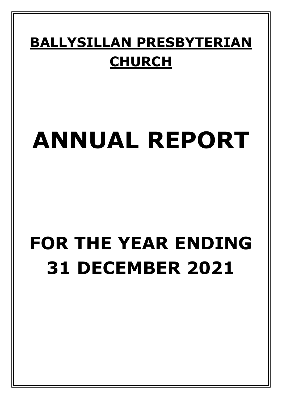## **BALLYSILLAN PRESBYTERIAN CHURCH**

# **ANNUAL REPORT**

# **FOR THE YEAR ENDING 31 DECEMBER 2021**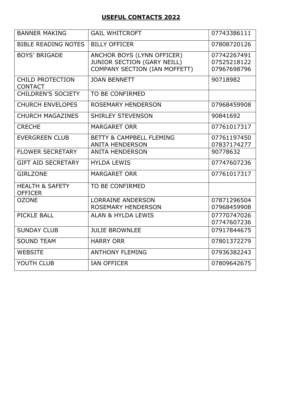#### **USEFUL CONTACTS 2022**

| <b>BANNER MAKING</b>                         | <b>GAIL WHITCROFT</b>                                                                             | 07743386111                               |
|----------------------------------------------|---------------------------------------------------------------------------------------------------|-------------------------------------------|
| <b>BIBLE READING NOTES</b>                   | <b>BILLY OFFICER</b>                                                                              | 07808720126                               |
| <b>BOYS' BRIGADE</b>                         | ANCHOR BOYS (LYNN OFFICER)<br><b>JUNIOR SECTION (GARY NEILL)</b><br>COMPANY SECTION (IAN MOFFETT) | 07742267491<br>07525218122<br>07967698796 |
| <b>CHILD PROTECTION</b><br><b>CONTACT</b>    | <b>JOAN BENNETT</b>                                                                               | 90718982                                  |
| <b>CHILDREN'S SOCIETY</b>                    | TO BE CONFIRMED                                                                                   |                                           |
| <b>CHURCH ENVELOPES</b>                      | <b>ROSEMARY HENDERSON</b>                                                                         | 07968459908                               |
| <b>CHURCH MAGAZINES</b>                      | <b>SHIRLEY STEVENSON</b>                                                                          | 90841692                                  |
| <b>CRECHE</b>                                | <b>MARGARET ORR</b>                                                                               | 07761017317                               |
| <b>EVERGREEN CLUB</b>                        | <b>BETTY &amp; CAMPBELL FLEMING</b><br><b>ANITA HENDERSON</b>                                     | 07761197450<br>07837174277                |
| <b>FLOWER SECRETARY</b>                      | <b>ANITA HENDERSON</b>                                                                            | 90778632                                  |
| <b>GIFT AID SECRETARY</b>                    | <b>HYLDA LEWIS</b>                                                                                | 07747607236                               |
| <b>GIRLZONE</b>                              | <b>MARGARET ORR</b>                                                                               | 07761017317                               |
| <b>HEALTH &amp; SAFETY</b><br><b>OFFICER</b> | TO BE CONFIRMED                                                                                   |                                           |
| <b>OZONE</b>                                 | <b>LORRAINE ANDERSON</b><br><b>ROSEMARY HENDERSON</b>                                             | 07871296504<br>07968459908                |
| PICKLE BALL                                  | <b>ALAN &amp; HYLDA LEWIS</b>                                                                     | 07770747026<br>07747607236                |
| <b>SUNDAY CLUB</b>                           | <b>JULIE BROWNLEE</b>                                                                             | 07917844675                               |
| <b>SOUND TEAM</b>                            | <b>HARRY ORR</b>                                                                                  | 07801372279                               |
| <b>WEBSITE</b>                               | <b>ANTHONY FLEMING</b>                                                                            | 07936382243                               |
| YOUTH CLUB                                   | <b>IAN OFFICER</b>                                                                                | 07809642675                               |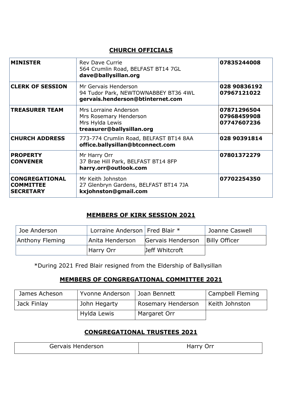#### **CHURCH OFFICIALS**

| <b>MINISTER</b>                                               | <b>Rev Dave Currie</b><br>564 Crumlin Road, BELFAST BT14 7GL<br>dave@ballysillan.org             | 07835244008                               |
|---------------------------------------------------------------|--------------------------------------------------------------------------------------------------|-------------------------------------------|
| <b>CLERK OF SESSION</b>                                       | Mr Gervais Henderson<br>94 Tudor Park, NEWTOWNABBEY BT36 4WL<br>gervais.henderson@btinternet.com | 028 90836192<br>07967121022               |
| <b>TREASURER TEAM</b>                                         | Mrs Lorraine Anderson<br>Mrs Rosemary Henderson<br>Mrs Hylda Lewis<br>treasurer@ballysillan.org  | 07871296504<br>07968459908<br>07747607236 |
| <b>CHURCH ADDRESS</b>                                         | 773-774 Crumlin Road, BELFAST BT14 8AA<br>office.ballysillan@btconnect.com                       | 028 90391814                              |
| <b>PROPERTY</b><br><b>CONVENER</b>                            | Mr Harry Orr<br>37 Brae Hill Park, BELFAST BT14 8FP<br>harry.orr@outlook.com                     | 07801372279                               |
| <b>CONGREGATIONAL</b><br><b>COMMITTEE</b><br><b>SECRETARY</b> | Mr Keith Johnston<br>27 Glenbryn Gardens, BELFAST BT14 7JA<br>kxjohnston@gmail.com               | 07702254350                               |

#### **MEMBERS OF KIRK SESSION 2021**

| Joe Anderson    | Lorraine Anderson   Fred Blair * |                   | Joanne Caswell       |
|-----------------|----------------------------------|-------------------|----------------------|
| Anthony Fleming | Anita Henderson                  | Gervais Henderson | <b>Billy Officer</b> |
|                 | Harry Orr                        | Jeff Whitcroft    |                      |

\*During 2021 Fred Blair resigned from the Eldership of Ballysillan

#### **MEMBERS OF CONGREGATIONAL COMMITTEE 2021**

| James Acheson | Yvonne Anderson | Joan Bennett       | Campbell Fleming |
|---------------|-----------------|--------------------|------------------|
| Jack Finlay   | John Hegarty    | Rosemary Henderson | Keith Johnston   |
|               | Hylda Lewis     | Margaret Orr       |                  |

### **CONGREGATIONAL TRUSTEES 2021**

| Gervais Henderson | Harry Orr |
|-------------------|-----------|
|                   |           |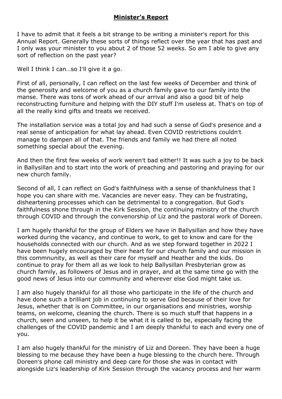#### **Minister's Report**

I have to admit that it feels a bit strange to be writing a minister's report for this Annual Report. Generally these sorts of things reflect over the year that has past and I only was your minister to you about 2 of those 52 weeks. So am I able to give any sort of reflection on the past year?

Well I think I can...so I'll give it a go.

First of all, personally, I can reflect on the last few weeks of December and think of the generosity and welcome of you as a church family gave to our family into the manse. There was tons of work ahead of our arrival and also a good bit of help reconstructing furniture and helping with the DIY stuff I'm useless at. That's on top of all the really kind gifts and treats we received.

The installation service was a total joy and had such a sense of God's presence and a real sense of anticipation for what lay ahead. Even COVID restrictions couldn't manage to dampen all of that. The friends and family we had there all noted something special about the evening.

And then the first few weeks of work weren't bad either!! It was such a joy to be back in Ballysillan and to start into the work of preaching and pastoring and praying for our new church family.

Second of all, I can reflect on God's faithfulness with a sense of thankfulness that I hope you can share with me. Vacancies are never easy. They can be frustrating, disheartening processes which can be detrimental to a congregation. But God's faithfulness shone through in the Kirk Session, the continuing ministry of the church through COVID and through the convenorship of Liz and the pastoral work of Doreen.

I am hugely thankful for the group of Elders we have in Ballysillan and how they have worked during the vacancy, and continue to work, to get to know and care for the households connected with our church. And as we step forward together in 2022 I have been hugely encouraged by their heart for our church family and our mission in this commnunity, as well as their care for myself and Heather and the kids. Do continue to pray for them all as we look to help Ballysillan Presbyterian grow as church family, as followers of Jesus and in prayer, and at the same time go with the good news of Jesus into our community and wherever else God might take us.

I am also hugely thankful for all those who participate in the life of the church and have done such a brilliant job in continuing to serve God because of their love for Jesus, whether that is on Committee, in our organisations and ministries, worship teams, on welcome, cleaning the church. There is so much stuff that happens in a church, seen and unseen, to help it be what it is called to be, especially facing the challenges of the COVID pandemic and I am deeply thankful to each and every one of you.

I am also hugely thankful for the ministry of Liz and Doreen. They have been a huge blessing to me because they have been a huge blessing to the church here. Through Doreen's phone call ministry and deep care for those she was in contact with alongside Liz's leadership of Kirk Session through the vacancy process and her warm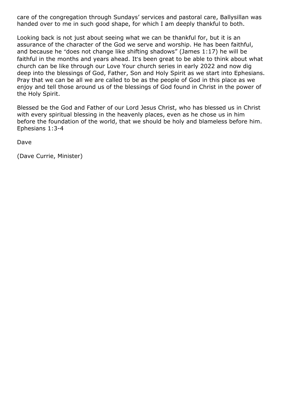care of the congregation through Sundays' services and pastoral care, Ballysillan was handed over to me in such good shape, for which I am deeply thankful to both.

Looking back is not just about seeing what we can be thankful for, but it is an assurance of the character of the God we serve and worship. He has been faithful, and because he "does not change like shifting shadows" (James 1:17) he will be faithful in the months and years ahead. It's been great to be able to think about what church can be like through our Love Your church series in early 2022 and now dig deep into the blessings of God, Father, Son and Holy Spirit as we start into Ephesians. Pray that we can be all we are called to be as the people of God in this place as we enjoy and tell those around us of the blessings of God found in Christ in the power of the Holy Spirit.

Blessed be the God and Father of our Lord Jesus Christ, who has blessed us in Christ with every spiritual blessing in the heavenly places, even as he chose us in him before the foundation of the world, that we should be holy and blameless before him. Ephesians 1:3-4

Dave

(Dave Currie, Minister)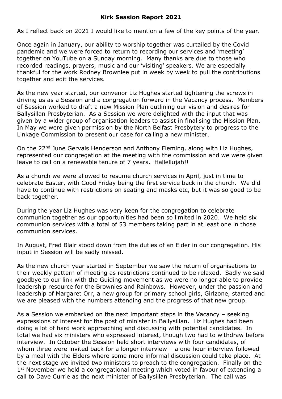#### **Kirk Session Report 2021**

As I reflect back on 2021 I would like to mention a few of the key points of the year.

Once again in January, our ability to worship together was curtailed by the Covid pandemic and we were forced to return to recording our services and 'meeting' together on YouTube on a Sunday morning. Many thanks are due to those who recorded readings, prayers, music and our 'visiting' speakers. We are especially thankful for the work Rodney Brownlee put in week by week to pull the contributions together and edit the services.

As the new year started, our convenor Liz Hughes started tightening the screws in driving us as a Session and a congregation forward in the Vacancy process. Members of Session worked to draft a new Mission Plan outlining our vision and desires for Ballysillan Presbyterian. As a Session we were delighted with the input that was given by a wider group of organisation leaders to assist in finalising the Mission Plan. In May we were given permission by the North Belfast Presbytery to progress to the Linkage Commission to present our case for calling a new minister.

On the 22<sup>nd</sup> June Gervais Henderson and Anthony Fleming, along with Liz Hughes, represented our congregation at the meeting with the commission and we were given leave to call on a renewable tenure of 7 years. Hallellujah!!

As a church we were allowed to resume church services in April, just in time to celebrate Easter, with Good Friday being the first service back in the church. We did have to continue with restrictions on seating and masks etc, but it was so good to be back together.

During the year Liz Hughes was very keen for the congregation to celebrate communion together as our opportunities had been so limited in 2020. We held six communion services with a total of 53 members taking part in at least one in those communion services.

In August, Fred Blair stood down from the duties of an Elder in our congregation. His input in Session will be sadly missed.

As the new church year started in September we saw the return of organisations to their weekly pattern of meeting as restrictions continued to be relaxed. Sadly we said goodbye to our link with the Guiding movement as we were no longer able to provide leadership resource for the Brownies and Rainbows. However, under the passion and leadership of Margaret Orr, a new group for primary school girls, Girlzone, started and we are pleased with the numbers attending and the progress of that new group.

As a Session we embarked on the next important steps in the Vacancy – seeking expressions of interest for the post of minister in Ballysillan. Liz Hughes had been doing a lot of hard work approaching and discussing with potential candidates. In total we had six ministers who expressed interest, though two had to withdraw before interview. In October the Session held short interviews with four candidates, of whom three were invited back for a longer interview – a one hour interview followed by a meal with the Elders where some more informal discussion could take place. At the next stage we invited two ministers to preach to the congregation. Finally on the 1<sup>st</sup> November we held a congregational meeting which voted in favour of extending a call to Dave Currie as the next minister of Ballysillan Presbyterian. The call was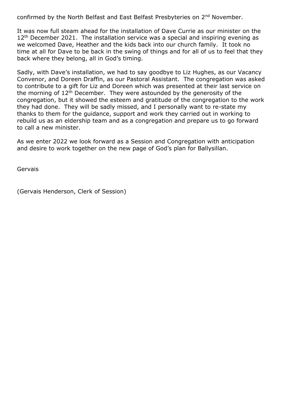confirmed by the North Belfast and East Belfast Presbyteries on 2nd November.

It was now full steam ahead for the installation of Dave Currie as our minister on the 12<sup>th</sup> December 2021. The installation service was a special and inspiring evening as we welcomed Dave, Heather and the kids back into our church family. It took no time at all for Dave to be back in the swing of things and for all of us to feel that they back where they belong, all in God's timing.

Sadly, with Dave's installation, we had to say goodbye to Liz Hughes, as our Vacancy Convenor, and Doreen Draffin, as our Pastoral Assistant. The congregation was asked to contribute to a gift for Liz and Doreen which was presented at their last service on the morning of  $12^{th}$  December. They were astounded by the generosity of the congregation, but it showed the esteem and gratitude of the congregation to the work they had done. They will be sadly missed, and I personally want to re-state my thanks to them for the guidance, support and work they carried out in working to rebuild us as an eldership team and as a congregation and prepare us to go forward to call a new minister.

As we enter 2022 we look forward as a Session and Congregation with anticipation and desire to work together on the new page of God's plan for Ballysillan.

Gervais

(Gervais Henderson, Clerk of Session)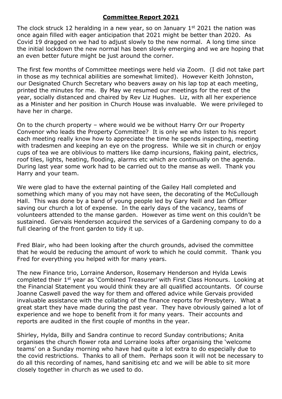#### **Committee Report 2021**

The clock struck 12 heralding in a new year, so on January  $1<sup>st</sup>$  2021 the nation was once again filled with eager anticipation that 2021 might be better than 2020. As Covid 19 dragged on we had to adjust slowly to the new normal. A long time since the initial lockdown the new normal has been slowly emerging and we are hoping that an even better future might be just around the corner.

The first few months of Committee meetings were held via Zoom. (I did not take part in those as my technical abilities are somewhat limited). However Keith Johnston, our Designated Church Secretary who beavers away on his lap top at each meeting, printed the minutes for me. By May we resumed our meetings for the rest of the year, socially distanced and chaired by Rev Liz Hughes. Liz, with all her experience as a Minister and her position in Church House was invaluable. We were privileged to have her in charge.

On to the church property – where would we be without Harry Orr our Property Convenor who leads the Property Committee? It is only we who listen to his report each meeting really know how to appreciate the time he spends inspecting, meeting with tradesmen and keeping an eye on the progress. While we sit in church or enjoy cups of tea we are oblivious to matters like damp incursions, flaking paint, electrics, roof tiles, lights, heating, flooding, alarms etc which are continually on the agenda. During last year some work had to be carried out to the manse as well. Thank you Harry and your team.

We were glad to have the external painting of the Gailey Hall completed and something which many of you may not have seen, the decorating of the McCullough Hall. This was done by a band of young people led by Gary Neill and Ian Officer saving our church a lot of expense. In the early days of the vacancy, teams of volunteers attended to the manse garden. However as time went on this couldn't be sustained. Gervais Henderson acquired the services of a Gardening company to do a full clearing of the front garden to tidy it up.

Fred Blair, who had been looking after the church grounds, advised the committee that he would be reducing the amount of work to which he could commit. Thank you Fred for everything you helped with for many years.

The new Finance trio, Lorraine Anderson, Rosemary Henderson and Hylda Lewis completed their 1st year as 'Combined Treasurer' with First Class Honours. Looking at the Financial Statement you would think they are all qualified accountants. Of course Joanne Caswell paved the way for them and offered advice while Gervais provided invaluable assistance with the collating of the finance reports for Presbytery. What a great start they have made during the past year. They have obviously gained a lot of experience and we hope to benefit from it for many years. Their accounts and reports are audited in the first couple of months in the year.

Shirley, Hylda, Billy and Sandra continue to record Sunday contributions; Anita organises the church flower rota and Lorraine looks after organising the 'welcome teams' on a Sunday morning who have had quite a lot extra to do especially due to the covid restrictions. Thanks to all of them. Perhaps soon it will not be necessary to do all this recording of names, hand sanitising etc and we will be able to sit more closely together in church as we used to do.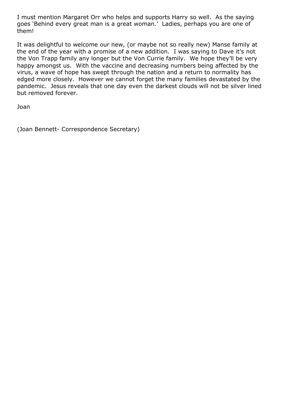I must mention Margaret Orr who helps and supports Harry so well. As the saying goes 'Behind every great man is a great woman.' Ladies, perhaps you are one of them!

It was delightful to welcome our new, (or maybe not so really new) Manse family at the end of the year with a promise of a new addition. I was saying to Dave it's not the Von Trapp family any longer but the Von Currie family. We hope they'll be very happy amongst us. With the vaccine and decreasing numbers being affected by the virus, a wave of hope has swept through the nation and a return to normality has edged more closely. However we cannot forget the many families devastated by the pandemic. Jesus reveals that one day even the darkest clouds will not be silver lined but removed forever.

Joan

(Joan Bennett- Correspondence Secretary)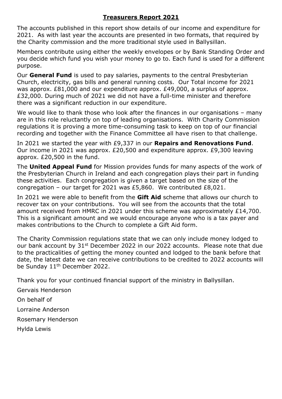#### **Treasurers Report 2021**

The accounts published in this report show details of our income and expenditure for 2021. As with last year the accounts are presented in two formats, that required by the Charity commission and the more traditional style used in Ballysillan.

Members contribute using either the weekly envelopes or by Bank Standing Order and you decide which fund you wish your money to go to. Each fund is used for a different purpose.

Our **General Fund** is used to pay salaries, payments to the central Presbyterian Church, electricity, gas bills and general running costs. Our Total income for 2021 was approx. £81,000 and our expenditure approx. £49,000, a surplus of approx. £32,000. During much of 2021 we did not have a full-time minister and therefore there was a significant reduction in our expenditure.

We would like to thank those who look after the finances in our organisations – many are in this role reluctantly on top of leading organisations. With Charity Commission regulations it is proving a more time-consuming task to keep on top of our financial recording and together with the Finance Committee all have risen to that challenge.

In 2021 we started the year with £9,337 in our **Repairs and Renovations Fund**. Our income in 2021 was approx. £20,500 and expenditure approx. £9,300 leaving approx. £20,500 in the fund.

The **United Appeal Fund** for Mission provides funds for many aspects of the work of the Presbyterian Church in Ireland and each congregation plays their part in funding these activities. Each congregation is given a target based on the size of the congregation – our target for 2021 was £5,860. We contributed £8,021.

In 2021 we were able to benefit from the **Gift Aid** scheme that allows our church to recover tax on your contributions. You will see from the accounts that the total amount received from HMRC in 2021 under this scheme was approximately £14,700. This is a significant amount and we would encourage anyone who is a tax payer and makes contributions to the Church to complete a Gift Aid form.

The Charity Commission regulations state that we can only include money lodged to our bank account by 31<sup>st</sup> December 2022 in our 2022 accounts. Please note that due to the practicalities of getting the money counted and lodged to the bank before that date, the latest date we can receive contributions to be credited to 2022 accounts will be Sunday 11<sup>th</sup> December 2022.

Thank you for your continued financial support of the ministry in Ballysillan.

Gervais Henderson

On behalf of

Lorraine Anderson

Rosemary Henderson

Hylda Lewis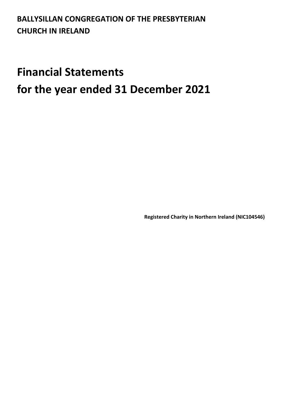### **BALLYSILLAN CONGREGATION OF THE PRESBYTERIAN CHURCH IN IRELAND**

## **Financial Statements for the year ended 31 December 2021**

**Registered Charity in Northern Ireland (NIC104546)**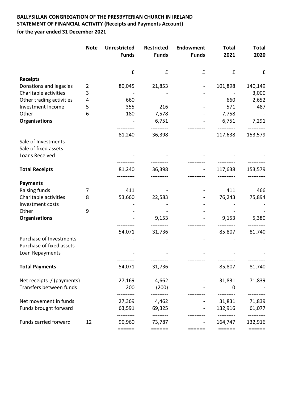#### **BALLYSILLAN CONGREGATION OF THE PRESBYTERIAN CHURCH IN IRELAND STATEMENT OF FINANCIAL ACTIVITY (Receipts and Payments Account) for the year ended 31 December 2021**

|                           | <b>Note</b> | <b>Unrestricted</b> | <b>Restricted</b>   | Endowment      | <b>Total</b>          | <b>Total</b>          |
|---------------------------|-------------|---------------------|---------------------|----------------|-----------------------|-----------------------|
|                           |             | <b>Funds</b>        | <b>Funds</b>        | <b>Funds</b>   | 2021                  | 2020                  |
|                           |             | £                   | £                   | £              | £                     | £                     |
| <b>Receipts</b>           |             |                     |                     |                |                       |                       |
| Donations and legacies    | 2           | 80,045              | 21,853              |                | 101,898               | 140,149               |
| Charitable activities     | 3           |                     |                     |                |                       | 3,000                 |
| Other trading activities  | 4           | 660                 |                     |                | 660                   | 2,652                 |
| Investment Income         | 5           | 355                 | 216                 |                | 571                   | 487                   |
| Other                     | 6           | 180                 | 7,578               |                | 7,758                 |                       |
| Organisations             |             |                     | 6,751               |                | 6,751                 | 7,291                 |
|                           |             | 81,240              | 36,398              |                | 117,638               | 153,579               |
| Sale of Investments       |             |                     |                     |                |                       |                       |
| Sale of fixed assets      |             |                     |                     |                |                       |                       |
| Loans Received            |             |                     |                     |                |                       |                       |
| <b>Total Receipts</b>     |             | 81,240              | 36,398              |                | 117,638               | 153,579               |
| <b>Payments</b>           |             |                     |                     |                |                       |                       |
| Raising funds             | 7           | 411                 |                     |                | 411                   | 466                   |
| Charitable activities     | 8           | 53,660              | 22,583              |                | 76,243                | 75,894                |
| Investment costs          |             |                     |                     |                |                       |                       |
| Other                     | 9           |                     |                     |                |                       |                       |
| Organisations             |             |                     | 9,153               |                | 9,153                 | 5,380                 |
|                           |             | 54,071              | 31,736              |                | 85,807                | 81,740                |
| Purchase of Investments   |             |                     |                     |                |                       |                       |
| Purchase of fixed assets  |             |                     |                     |                |                       |                       |
| Loan Repayments           |             | ----------          | ----------          |                | ----------            | ----------            |
| <b>Total Payments</b>     |             | 54,071              | 31,736              |                | 85,807                | 81,740                |
| Net receipts / (payments) |             | ---------<br>27,169 | ----------<br>4,662 |                | ----------<br>31,831  | 71,839                |
| Transfers between funds   |             | 200                 | (200)               |                | $\mathbf 0$           |                       |
| Net movement in funds     |             | 27,369              | 4,462               |                | 31,831                | 71,839                |
| Funds brought forward     |             | 63,591              | 69,325              |                | 132,916               | 61,077                |
| Funds carried forward     | 12          | ---------<br>90,960 | ---------<br>73,787 | $\blacksquare$ | ----------<br>164,747 | ----------<br>132,916 |
|                           |             | ======              | ======              | ======         | ======                | ======                |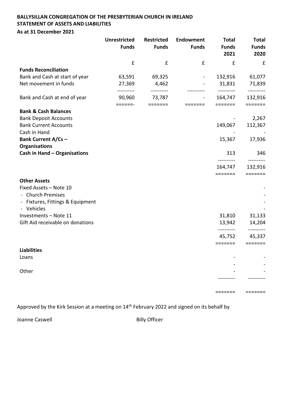#### **BALLYSILLAN CONGREGATION OF THE PRESBYTERIAN CHURCH IN IRELAND STATEMENT OF ASSETS AND LIABILITIES As at 31 December 2021**

|                                                | <b>Unrestricted</b><br><b>Funds</b> | <b>Restricted</b><br><b>Funds</b> | Endowment<br><b>Funds</b> | <b>Total</b><br><b>Funds</b><br>2021 | <b>Total</b><br><b>Funds</b><br>2020 |
|------------------------------------------------|-------------------------------------|-----------------------------------|---------------------------|--------------------------------------|--------------------------------------|
|                                                | $\pmb{\mathsf{f}}$                  | $\pmb{\mathsf{f}}$                | £                         | £                                    | £                                    |
| <b>Funds Reconciliation</b>                    |                                     |                                   |                           |                                      |                                      |
| Bank and Cash at start of year                 | 63,591                              | 69,325                            |                           | 132,916                              | 61,077                               |
| Net movement in funds                          | 27,369<br>--------                  | 4,462                             |                           | 31,831                               | 71,839<br>----------                 |
| Bank and Cash at end of year                   | 90,960                              | 73,787                            |                           | 164,747                              | 132,916                              |
| <b>Bank &amp; Cash Balances</b>                | $=$ $=$ $=$ $=$ $=$ $-$             | $=$ $=$ $=$ $=$ $=$ $=$ $=$       | =======                   | $=$ $=$ $=$ $=$ $=$ $=$ $=$ $=$      | =======                              |
| <b>Bank Deposit Accounts</b>                   |                                     |                                   |                           |                                      | 2,267                                |
| <b>Bank Current Accounts</b><br>Cash in Hand   |                                     |                                   |                           | 149,067                              | 112,367                              |
| <b>Bank Current A/Cs -</b>                     |                                     |                                   |                           | 15,367                               | 17,936                               |
| Organisations<br>Cash in Hand - Organisations  |                                     |                                   |                           | 313                                  | 346                                  |
|                                                |                                     |                                   |                           | ----------                           |                                      |
|                                                |                                     |                                   |                           | 164,747                              | 132,916                              |
|                                                |                                     |                                   |                           | $=$ $=$ $=$ $=$ $=$ $=$ $=$          | =======                              |
| <b>Other Assets</b>                            |                                     |                                   |                           |                                      |                                      |
| Fixed Assets - Note 10                         |                                     |                                   |                           |                                      |                                      |
| - Church Premises                              |                                     |                                   |                           |                                      |                                      |
| - Fixtures, Fittings & Equipment<br>- Vehicles |                                     |                                   |                           |                                      |                                      |
| Investments - Note 11                          |                                     |                                   |                           | 31,810                               | 31,133                               |
| Gift Aid receivable on donations               |                                     |                                   |                           | 13,942                               | 14,204                               |
|                                                |                                     |                                   |                           | ----------                           | ----------                           |
|                                                |                                     |                                   |                           | 45,752                               | 45,337                               |
|                                                |                                     |                                   |                           | =======                              | =======                              |
| <b>Liabilities</b>                             |                                     |                                   |                           |                                      |                                      |
| Loans                                          |                                     |                                   |                           |                                      |                                      |
|                                                |                                     |                                   |                           |                                      |                                      |
| Other                                          |                                     |                                   |                           |                                      |                                      |
|                                                |                                     |                                   |                           |                                      |                                      |

Approved by the Kirk Session at a meeting on 14<sup>th</sup> February 2022 and signed on its behalf by

Joanne Caswell **Billy Officer** 

======= =======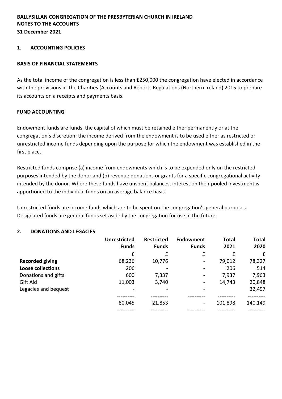#### **1. ACCOUNTING POLICIES**

#### **BASIS OF FINANCIAL STATEMENTS**

As the total income of the congregation is less than £250,000 the congregation have elected in accordance with the provisions in The Charities (Accounts and Reports Regulations (Northern Ireland) 2015 to prepare its accounts on a receipts and payments basis.

#### **FUND ACCOUNTING**

Endowment funds are funds, the capital of which must be retained either permanently or at the congregation's discretion; the income derived from the endowment is to be used either as restricted or unrestricted income funds depending upon the purpose for which the endowment was established in the first place.

Restricted funds comprise (a) income from endowments which is to be expended only on the restricted purposes intended by the donor and (b) revenue donations or grants for a specific congregational activity intended by the donor. Where these funds have unspent balances, interest on their pooled investment is apportioned to the individual funds on an average balance basis.

Unrestricted funds are income funds which are to be spent on the congregation's general purposes. Designated funds are general funds set aside by the congregation for use in the future.

| 2.<br><b>DONATIONS AND LEGACIES</b> |                                     |                                   |                                                                                                                                                   |               |               |
|-------------------------------------|-------------------------------------|-----------------------------------|---------------------------------------------------------------------------------------------------------------------------------------------------|---------------|---------------|
|                                     | <b>Unrestricted</b><br><b>Funds</b> | <b>Restricted</b><br><b>Funds</b> | <b>Endowment</b><br><b>Funds</b>                                                                                                                  | Total<br>2021 | Total<br>2020 |
|                                     | £                                   | £                                 | £                                                                                                                                                 | £             | £             |
| <b>Recorded giving</b>              | 68,236                              | 10,776                            | $\hskip1.6pt\hskip1.6pt\hskip1.6pt\hskip1.6pt\hskip1.6pt\hskip1.6pt\hskip1.6pt\hskip1.6pt\hskip1.6pt\hskip1.6pt\hskip1.6pt\hskip1.6pt\hskip1.6pt$ | 79,012        | 78,327        |
| <b>Loose collections</b>            | 206                                 |                                   | $\overline{\phantom{a}}$                                                                                                                          | 206           | 514           |
| Donations and gifts                 | 600                                 | 7,337                             | $\overline{\phantom{a}}$                                                                                                                          | 7,937         | 7,963         |
| Gift Aid                            | 11,003                              | 3,740                             | $\overline{\phantom{a}}$                                                                                                                          | 14,743        | 20,848        |
| Legacies and bequest                |                                     |                                   |                                                                                                                                                   |               | 32,497        |
|                                     | 80,045                              | 21,853                            | -                                                                                                                                                 | 101,898       | 140,149       |
|                                     |                                     |                                   |                                                                                                                                                   |               |               |

**Total 2020**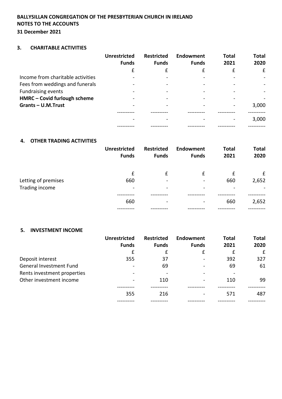#### **BALLYSILLAN CONGREGATION OF THE PRESBYTERIAN CHURCH IN IRELAND NOTES TO THE ACCOUNTS 31 December 2021**

#### **3. CHARITABLE ACTIVITIES**

|                                   | <b>Unrestricted</b><br><b>Funds</b> | <b>Restricted</b><br><b>Funds</b> | Endowment<br><b>Funds</b> | <b>Total</b><br>2021 | <b>Total</b><br>2020 |
|-----------------------------------|-------------------------------------|-----------------------------------|---------------------------|----------------------|----------------------|
|                                   | £                                   | £                                 | £                         | £                    | £                    |
| Income from charitable activities |                                     |                                   |                           |                      |                      |
| Fees from weddings and funerals   |                                     |                                   |                           |                      |                      |
| <b>Fundraising events</b>         |                                     |                                   |                           |                      |                      |
| HMRC - Covid furlough scheme      |                                     |                                   |                           |                      |                      |
| Grants-U.M.Trust                  |                                     |                                   |                           |                      | 3,000                |
|                                   |                                     |                                   |                           |                      |                      |
|                                   |                                     |                                   |                           |                      | 3,000                |
|                                   |                                     |                                   |                           |                      |                      |

#### **4. OTHER TRADING ACTIVITIES**

|                     | <b>Unrestricted</b><br><b>Funds</b> | <b>Restricted</b><br><b>Funds</b> | Endowment<br><b>Funds</b> | <b>Total</b><br>2021 | <b>Total</b><br>2020 |
|---------------------|-------------------------------------|-----------------------------------|---------------------------|----------------------|----------------------|
|                     | £                                   | £                                 | £                         | £                    | $\mathbf{f}$         |
| Letting of premises | 660                                 | $\overline{\phantom{0}}$          |                           | 660                  | 2,652                |
| Trading income      | $\overline{\phantom{a}}$            | $\overline{\phantom{0}}$          |                           |                      |                      |
|                     | 660                                 | $\qquad \qquad$                   | $\overline{\phantom{0}}$  | 660                  | 2,652                |
|                     |                                     |                                   |                           |                      |                      |

#### **5. INVESTMENT INCOME**

|                             | <b>Unrestricted</b><br><b>Funds</b> | <b>Restricted</b><br><b>Funds</b> | Endowment<br><b>Funds</b> | <b>Total</b><br>2021 | <b>Total</b><br>2020 |
|-----------------------------|-------------------------------------|-----------------------------------|---------------------------|----------------------|----------------------|
|                             | £                                   | £                                 | £                         | £                    | £                    |
| Deposit interest            | 355                                 | 37                                |                           | 392                  | 327                  |
| General Investment Fund     | $\overline{\phantom{a}}$            | 69                                |                           | 69                   | 61                   |
| Rents investment properties | $\overline{\phantom{a}}$            |                                   |                           |                      |                      |
| Other investment income     | $\overline{\phantom{a}}$            | 110                               |                           | 110                  | 99                   |
|                             | 355                                 | 216                               |                           | 571                  | 487                  |
|                             |                                     |                                   |                           |                      |                      |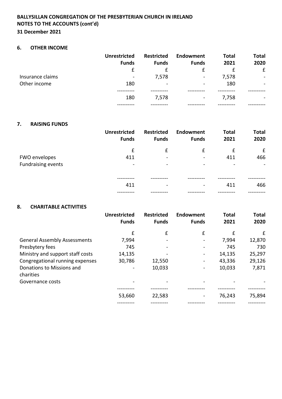#### **6. OTHER INCOME**

|                  | <b>Unrestricted</b><br><b>Funds</b> | <b>Restricted</b><br><b>Funds</b> | Endowment<br><b>Funds</b> | <b>Total</b><br>2021 | <b>Total</b><br>2020     |
|------------------|-------------------------------------|-----------------------------------|---------------------------|----------------------|--------------------------|
|                  | £                                   | $\mathbf{f}$                      | £                         |                      | £                        |
| Insurance claims | $\overline{\phantom{a}}$            | 7,578                             | $\overline{\phantom{a}}$  | 7,578                | $\overline{\phantom{0}}$ |
| Other income     | 180                                 | $\overline{\phantom{a}}$          | -                         | 180                  |                          |
|                  |                                     |                                   |                           |                      |                          |
|                  | 180                                 | 7,578                             | $\blacksquare$            | 7,758                |                          |
|                  |                                     |                                   |                           |                      |                          |

#### **7. RAISING FUNDS**

|                           | <b>Unrestricted</b><br><b>Funds</b> | <b>Restricted</b><br><b>Funds</b>                                                                                                                            | Endowment<br><b>Funds</b>    | <b>Total</b><br>2021         | <b>Total</b><br>2020 |
|---------------------------|-------------------------------------|--------------------------------------------------------------------------------------------------------------------------------------------------------------|------------------------------|------------------------------|----------------------|
|                           | £                                   | £                                                                                                                                                            | £                            | £                            | £                    |
| FWO envelopes             | 411                                 | $\overline{\phantom{0}}$                                                                                                                                     |                              | 411                          | 466                  |
| <b>Fundraising events</b> | $\overline{\phantom{a}}$            | $\hskip1.6pt\hskip1.6pt\hskip1.6pt\hskip1.6pt\hskip1.6pt\hskip1.6pt\hskip1.6pt\hskip1.6pt\hskip1.6pt\hskip1.6pt\hskip1.6pt\hskip1.6pt\hskip1.6pt\hskip1.6pt$ | $\qquad \qquad \blacksquare$ | $\qquad \qquad \blacksquare$ | -                    |
|                           |                                     |                                                                                                                                                              |                              |                              |                      |
|                           | 411                                 | $\overline{\phantom{a}}$                                                                                                                                     | $\overline{\phantom{0}}$     | 411                          | 466                  |
|                           |                                     |                                                                                                                                                              |                              |                              |                      |

#### **8. CHARITABLE ACTIVITIES**

|                                        | <b>Unrestricted</b><br><b>Funds</b> | <b>Restricted</b><br><b>Funds</b> | <b>Endowment</b><br><b>Funds</b> | <b>Total</b><br>2021 | <b>Total</b><br>2020 |
|----------------------------------------|-------------------------------------|-----------------------------------|----------------------------------|----------------------|----------------------|
|                                        | £                                   | £                                 | £                                | £                    | £                    |
| <b>General Assembly Assessments</b>    | 7,994                               |                                   |                                  | 7,994                | 12,870               |
| Presbytery fees                        | 745                                 |                                   |                                  | 745                  | 730                  |
| Ministry and support staff costs       | 14,135                              |                                   |                                  | 14,135               | 25,297               |
| Congregational running expenses        | 30,786                              | 12,550                            |                                  | 43,336               | 29,126               |
| Donations to Missions and<br>charities |                                     | 10,033                            |                                  | 10,033               | 7,871                |
| Governance costs                       |                                     |                                   |                                  |                      |                      |
|                                        |                                     |                                   |                                  |                      |                      |
|                                        | 53,660                              | 22,583                            |                                  | 76,243               | 75,894               |
|                                        |                                     |                                   |                                  |                      |                      |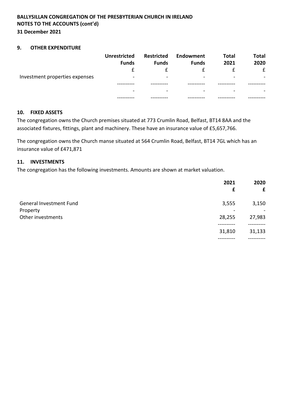#### **9. OTHER EXPENDITURE**

|                                | <b>Unrestricted</b><br><b>Funds</b> | <b>Restricted</b><br><b>Funds</b> | Endowment<br><b>Funds</b> | <b>Total</b><br>2021 | <b>Total</b><br>2020 |
|--------------------------------|-------------------------------------|-----------------------------------|---------------------------|----------------------|----------------------|
| Investment properties expenses |                                     |                                   |                           |                      | £                    |
|                                | $\overline{\phantom{0}}$            | $\overline{\phantom{0}}$          | -                         | -                    |                      |
|                                |                                     |                                   |                           |                      |                      |
|                                | $\,$                                | $\qquad \qquad \blacksquare$      | -                         |                      |                      |
|                                |                                     |                                   |                           |                      |                      |

#### **10. FIXED ASSETS**

The congregation owns the Church premises situated at 773 Crumlin Road, Belfast, BT14 8AA and the associated fixtures, fittings, plant and machinery. These have an insurance value of £5,657,766.

The congregation owns the Church manse situated at 564 Crumlin Road, Belfast, BT14 7GL which has an insurance value of £471,871

#### **11. INVESTMENTS**

The congregation has the following investments. Amounts are shown at market valuation.

|                                            | 2021<br>£ | 2020<br>£ |
|--------------------------------------------|-----------|-----------|
| <b>General Investment Fund</b><br>Property | 3,555     | 3,150     |
| Other investments                          | 28,255    | 27,983    |
|                                            | 31,810    | 31,133    |
|                                            |           |           |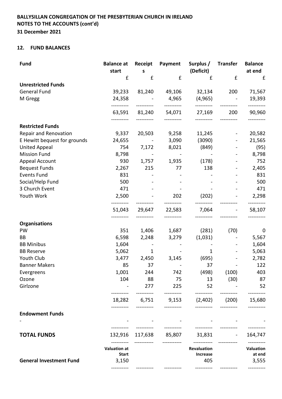#### **12. FUND BALANCES**

| <b>Fund</b>                    | <b>Balance at</b><br>start | Receipt<br>S | Payment        | Surplus /<br>(Deficit) | <b>Transfer</b> | <b>Balance</b><br>at end |
|--------------------------------|----------------------------|--------------|----------------|------------------------|-----------------|--------------------------|
|                                | £                          | £            | £              | £                      | £               | £                        |
| <b>Unrestricted Funds</b>      |                            |              |                |                        |                 |                          |
| <b>General Fund</b>            | 39,233                     | 81,240       | 49,106         | 32,134                 | 200             | 71,567                   |
| M Gregg                        | 24,358                     |              | 4,965          | (4, 965)<br>---------- |                 | 19,393                   |
|                                | 63,591                     | 81,240       | 54,071         | 27,169                 | 200             | 90,960                   |
| <b>Restricted Funds</b>        |                            |              |                |                        |                 |                          |
| Repair and Renovation          | 9,337                      | 20,503       | 9,258          | 11,245                 |                 | 20,582                   |
| E Hewitt bequest for grounds   | 24,655                     | $\sim$ $-$   | 3,090          | (3090)                 |                 | 21,565                   |
| <b>United Appeal</b>           | 754                        | 7,172        | 8,021          | (849)                  |                 | (95)                     |
| <b>Mission Fund</b>            | 8,798                      |              | $\blacksquare$ |                        |                 | 8,798                    |
| Appeal Account                 | 930                        | 1,757        | 1,935          | (178)                  |                 | 752                      |
| <b>Bequest Funds</b>           | 2,267                      | 215          | 77             | 138                    |                 | 2,405                    |
| <b>Events Fund</b>             | 831                        |              |                |                        |                 | 831                      |
| Social/Help Fund               | 500                        |              |                |                        |                 | 500                      |
| 3 Church Event                 | 471                        |              |                |                        |                 | 471                      |
| Youth Work                     | 2,500                      |              | 202            | (202)                  |                 | 2,298                    |
|                                | 51,043                     | 29,647       | 22,583         | 7,064                  |                 | 58,107                   |
| <b>Organisations</b>           |                            |              |                |                        |                 |                          |
| PW                             | 351                        | 1,406        | 1,687          | (281)                  | (70)            | 0                        |
| BB                             | 6,598                      | 2,248        | 3,279          | (1,031)                |                 | 5,567                    |
| <b>BB Minibus</b>              | 1,604                      |              |                |                        |                 | 1,604                    |
| <b>BB Reserve</b>              | 5,062                      | 1            |                | 1                      |                 | 5,063                    |
| Youth Club                     | 3,477                      | 2,450        | 3,145          | (695)                  |                 | 2,782                    |
| <b>Banner Makers</b>           | 85                         | 37           |                | 37                     |                 | 122                      |
| Evergreens                     | 1,001                      | 244          | 742            | (498)                  | (100)           | 403                      |
| Ozone                          | 104                        | 88           | 75             | 13                     | (30)            | 87                       |
| Girlzone                       |                            | 277          | 225            | 52                     |                 | 52                       |
|                                | 18,282                     | 6,751        | 9,153          | (2,402)                | (200)           | 15,680                   |
| <b>Endowment Funds</b>         |                            |              |                |                        |                 |                          |
|                                |                            |              |                |                        |                 |                          |
| <b>TOTAL FUNDS</b>             | 132,916                    | 117,638      | 85,807         | 31,831                 |                 | 164,747                  |
|                                | <b>Valuation at</b>        |              |                | Revaluation            |                 | Valuation                |
|                                | <b>Start</b>               |              |                | <b>Increase</b>        |                 | at end                   |
| <b>General Investment Fund</b> | 3,150                      |              |                | 405                    |                 | 3,555                    |
|                                |                            |              |                |                        |                 |                          |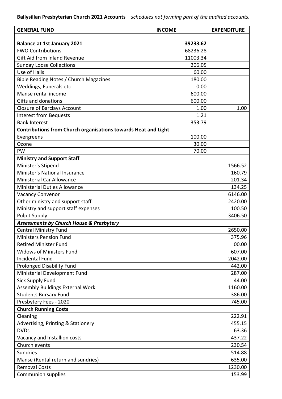| 39233.62<br><b>Balance at 1st January 2021</b><br><b>FWO Contributions</b><br>68236.28<br><b>Gift Aid from Inland Revenue</b><br>11003.34<br><b>Sunday Loose Collections</b><br>206.05<br>Use of Halls<br>60.00<br>Bible Reading Notes / Church Magazines<br>180.00<br>Weddings, Funerals etc<br>0.00<br>Manse rental income<br>600.00<br>Gifts and donations<br>600.00<br><b>Closure of Barclays Account</b><br>1.00<br>1.00<br><b>Interest from Bequests</b><br>1.21<br>353.79<br><b>Bank Interest</b><br>Contributions from Church organisations towards Heat and Light<br>100.00<br>Evergreens<br>Ozone<br>30.00<br>PW<br>70.00<br><b>Ministry and Support Staff</b><br>Minister's Stipend<br>1566.52<br>Minister's National Insurance<br>160.79<br><b>Ministerial Car Allowance</b><br>201.34<br><b>Ministerial Duties Allowance</b><br>134.25<br><b>Vacancy Convenor</b><br>6146.00<br>Other ministry and support staff<br>2420.00<br>Ministry and support staff expenses<br>100.50<br><b>Pulpit Supply</b><br>3406.50<br><b>Assessments by Church House &amp; Presbytery</b><br><b>Central Ministry Fund</b><br>2650.00<br><b>Ministers Pension Fund</b><br>375.96<br><b>Retired Minister Fund</b><br>00.00<br><b>Widows of Ministers Fund</b><br>607.00<br><b>Incidental Fund</b><br>2042.00<br><b>Prolonged Disability Fund</b><br>442.00<br>Ministerial Development Fund<br>287.00<br><b>Sick Supply Fund</b><br>44.00<br><b>Assembly Buildings External Work</b><br>1160.00<br><b>Students Bursary Fund</b><br>386.00<br>Presbytery Fees - 2020<br>745.00<br><b>Church Running Costs</b><br>Cleaning<br>222.91<br>Advertising, Printing & Stationery<br>455.15<br><b>DVDs</b><br>63.36<br>Vacancy and Installion costs<br>437.22<br>Church events<br>230.54<br><b>Sundries</b><br>514.88<br>Manse (Rental return and sundries)<br>635.00<br><b>Removal Costs</b><br>1230.00 | <b>GENERAL FUND</b>       | <b>INCOME</b> | <b>EXPENDITURE</b> |
|----------------------------------------------------------------------------------------------------------------------------------------------------------------------------------------------------------------------------------------------------------------------------------------------------------------------------------------------------------------------------------------------------------------------------------------------------------------------------------------------------------------------------------------------------------------------------------------------------------------------------------------------------------------------------------------------------------------------------------------------------------------------------------------------------------------------------------------------------------------------------------------------------------------------------------------------------------------------------------------------------------------------------------------------------------------------------------------------------------------------------------------------------------------------------------------------------------------------------------------------------------------------------------------------------------------------------------------------------------------------------------------------------------------------------------------------------------------------------------------------------------------------------------------------------------------------------------------------------------------------------------------------------------------------------------------------------------------------------------------------------------------------------------------------------------------------------------------------------------------------------------------|---------------------------|---------------|--------------------|
|                                                                                                                                                                                                                                                                                                                                                                                                                                                                                                                                                                                                                                                                                                                                                                                                                                                                                                                                                                                                                                                                                                                                                                                                                                                                                                                                                                                                                                                                                                                                                                                                                                                                                                                                                                                                                                                                                        |                           |               |                    |
|                                                                                                                                                                                                                                                                                                                                                                                                                                                                                                                                                                                                                                                                                                                                                                                                                                                                                                                                                                                                                                                                                                                                                                                                                                                                                                                                                                                                                                                                                                                                                                                                                                                                                                                                                                                                                                                                                        |                           |               |                    |
|                                                                                                                                                                                                                                                                                                                                                                                                                                                                                                                                                                                                                                                                                                                                                                                                                                                                                                                                                                                                                                                                                                                                                                                                                                                                                                                                                                                                                                                                                                                                                                                                                                                                                                                                                                                                                                                                                        |                           |               |                    |
|                                                                                                                                                                                                                                                                                                                                                                                                                                                                                                                                                                                                                                                                                                                                                                                                                                                                                                                                                                                                                                                                                                                                                                                                                                                                                                                                                                                                                                                                                                                                                                                                                                                                                                                                                                                                                                                                                        |                           |               |                    |
|                                                                                                                                                                                                                                                                                                                                                                                                                                                                                                                                                                                                                                                                                                                                                                                                                                                                                                                                                                                                                                                                                                                                                                                                                                                                                                                                                                                                                                                                                                                                                                                                                                                                                                                                                                                                                                                                                        |                           |               |                    |
|                                                                                                                                                                                                                                                                                                                                                                                                                                                                                                                                                                                                                                                                                                                                                                                                                                                                                                                                                                                                                                                                                                                                                                                                                                                                                                                                                                                                                                                                                                                                                                                                                                                                                                                                                                                                                                                                                        |                           |               |                    |
|                                                                                                                                                                                                                                                                                                                                                                                                                                                                                                                                                                                                                                                                                                                                                                                                                                                                                                                                                                                                                                                                                                                                                                                                                                                                                                                                                                                                                                                                                                                                                                                                                                                                                                                                                                                                                                                                                        |                           |               |                    |
|                                                                                                                                                                                                                                                                                                                                                                                                                                                                                                                                                                                                                                                                                                                                                                                                                                                                                                                                                                                                                                                                                                                                                                                                                                                                                                                                                                                                                                                                                                                                                                                                                                                                                                                                                                                                                                                                                        |                           |               |                    |
|                                                                                                                                                                                                                                                                                                                                                                                                                                                                                                                                                                                                                                                                                                                                                                                                                                                                                                                                                                                                                                                                                                                                                                                                                                                                                                                                                                                                                                                                                                                                                                                                                                                                                                                                                                                                                                                                                        |                           |               |                    |
|                                                                                                                                                                                                                                                                                                                                                                                                                                                                                                                                                                                                                                                                                                                                                                                                                                                                                                                                                                                                                                                                                                                                                                                                                                                                                                                                                                                                                                                                                                                                                                                                                                                                                                                                                                                                                                                                                        |                           |               |                    |
|                                                                                                                                                                                                                                                                                                                                                                                                                                                                                                                                                                                                                                                                                                                                                                                                                                                                                                                                                                                                                                                                                                                                                                                                                                                                                                                                                                                                                                                                                                                                                                                                                                                                                                                                                                                                                                                                                        |                           |               |                    |
|                                                                                                                                                                                                                                                                                                                                                                                                                                                                                                                                                                                                                                                                                                                                                                                                                                                                                                                                                                                                                                                                                                                                                                                                                                                                                                                                                                                                                                                                                                                                                                                                                                                                                                                                                                                                                                                                                        |                           |               |                    |
|                                                                                                                                                                                                                                                                                                                                                                                                                                                                                                                                                                                                                                                                                                                                                                                                                                                                                                                                                                                                                                                                                                                                                                                                                                                                                                                                                                                                                                                                                                                                                                                                                                                                                                                                                                                                                                                                                        |                           |               |                    |
|                                                                                                                                                                                                                                                                                                                                                                                                                                                                                                                                                                                                                                                                                                                                                                                                                                                                                                                                                                                                                                                                                                                                                                                                                                                                                                                                                                                                                                                                                                                                                                                                                                                                                                                                                                                                                                                                                        |                           |               |                    |
|                                                                                                                                                                                                                                                                                                                                                                                                                                                                                                                                                                                                                                                                                                                                                                                                                                                                                                                                                                                                                                                                                                                                                                                                                                                                                                                                                                                                                                                                                                                                                                                                                                                                                                                                                                                                                                                                                        |                           |               |                    |
|                                                                                                                                                                                                                                                                                                                                                                                                                                                                                                                                                                                                                                                                                                                                                                                                                                                                                                                                                                                                                                                                                                                                                                                                                                                                                                                                                                                                                                                                                                                                                                                                                                                                                                                                                                                                                                                                                        |                           |               |                    |
|                                                                                                                                                                                                                                                                                                                                                                                                                                                                                                                                                                                                                                                                                                                                                                                                                                                                                                                                                                                                                                                                                                                                                                                                                                                                                                                                                                                                                                                                                                                                                                                                                                                                                                                                                                                                                                                                                        |                           |               |                    |
|                                                                                                                                                                                                                                                                                                                                                                                                                                                                                                                                                                                                                                                                                                                                                                                                                                                                                                                                                                                                                                                                                                                                                                                                                                                                                                                                                                                                                                                                                                                                                                                                                                                                                                                                                                                                                                                                                        |                           |               |                    |
|                                                                                                                                                                                                                                                                                                                                                                                                                                                                                                                                                                                                                                                                                                                                                                                                                                                                                                                                                                                                                                                                                                                                                                                                                                                                                                                                                                                                                                                                                                                                                                                                                                                                                                                                                                                                                                                                                        |                           |               |                    |
|                                                                                                                                                                                                                                                                                                                                                                                                                                                                                                                                                                                                                                                                                                                                                                                                                                                                                                                                                                                                                                                                                                                                                                                                                                                                                                                                                                                                                                                                                                                                                                                                                                                                                                                                                                                                                                                                                        |                           |               |                    |
|                                                                                                                                                                                                                                                                                                                                                                                                                                                                                                                                                                                                                                                                                                                                                                                                                                                                                                                                                                                                                                                                                                                                                                                                                                                                                                                                                                                                                                                                                                                                                                                                                                                                                                                                                                                                                                                                                        |                           |               |                    |
|                                                                                                                                                                                                                                                                                                                                                                                                                                                                                                                                                                                                                                                                                                                                                                                                                                                                                                                                                                                                                                                                                                                                                                                                                                                                                                                                                                                                                                                                                                                                                                                                                                                                                                                                                                                                                                                                                        |                           |               |                    |
|                                                                                                                                                                                                                                                                                                                                                                                                                                                                                                                                                                                                                                                                                                                                                                                                                                                                                                                                                                                                                                                                                                                                                                                                                                                                                                                                                                                                                                                                                                                                                                                                                                                                                                                                                                                                                                                                                        |                           |               |                    |
|                                                                                                                                                                                                                                                                                                                                                                                                                                                                                                                                                                                                                                                                                                                                                                                                                                                                                                                                                                                                                                                                                                                                                                                                                                                                                                                                                                                                                                                                                                                                                                                                                                                                                                                                                                                                                                                                                        |                           |               |                    |
|                                                                                                                                                                                                                                                                                                                                                                                                                                                                                                                                                                                                                                                                                                                                                                                                                                                                                                                                                                                                                                                                                                                                                                                                                                                                                                                                                                                                                                                                                                                                                                                                                                                                                                                                                                                                                                                                                        |                           |               |                    |
|                                                                                                                                                                                                                                                                                                                                                                                                                                                                                                                                                                                                                                                                                                                                                                                                                                                                                                                                                                                                                                                                                                                                                                                                                                                                                                                                                                                                                                                                                                                                                                                                                                                                                                                                                                                                                                                                                        |                           |               |                    |
|                                                                                                                                                                                                                                                                                                                                                                                                                                                                                                                                                                                                                                                                                                                                                                                                                                                                                                                                                                                                                                                                                                                                                                                                                                                                                                                                                                                                                                                                                                                                                                                                                                                                                                                                                                                                                                                                                        |                           |               |                    |
|                                                                                                                                                                                                                                                                                                                                                                                                                                                                                                                                                                                                                                                                                                                                                                                                                                                                                                                                                                                                                                                                                                                                                                                                                                                                                                                                                                                                                                                                                                                                                                                                                                                                                                                                                                                                                                                                                        |                           |               |                    |
|                                                                                                                                                                                                                                                                                                                                                                                                                                                                                                                                                                                                                                                                                                                                                                                                                                                                                                                                                                                                                                                                                                                                                                                                                                                                                                                                                                                                                                                                                                                                                                                                                                                                                                                                                                                                                                                                                        |                           |               |                    |
|                                                                                                                                                                                                                                                                                                                                                                                                                                                                                                                                                                                                                                                                                                                                                                                                                                                                                                                                                                                                                                                                                                                                                                                                                                                                                                                                                                                                                                                                                                                                                                                                                                                                                                                                                                                                                                                                                        |                           |               |                    |
|                                                                                                                                                                                                                                                                                                                                                                                                                                                                                                                                                                                                                                                                                                                                                                                                                                                                                                                                                                                                                                                                                                                                                                                                                                                                                                                                                                                                                                                                                                                                                                                                                                                                                                                                                                                                                                                                                        |                           |               |                    |
|                                                                                                                                                                                                                                                                                                                                                                                                                                                                                                                                                                                                                                                                                                                                                                                                                                                                                                                                                                                                                                                                                                                                                                                                                                                                                                                                                                                                                                                                                                                                                                                                                                                                                                                                                                                                                                                                                        |                           |               |                    |
|                                                                                                                                                                                                                                                                                                                                                                                                                                                                                                                                                                                                                                                                                                                                                                                                                                                                                                                                                                                                                                                                                                                                                                                                                                                                                                                                                                                                                                                                                                                                                                                                                                                                                                                                                                                                                                                                                        |                           |               |                    |
|                                                                                                                                                                                                                                                                                                                                                                                                                                                                                                                                                                                                                                                                                                                                                                                                                                                                                                                                                                                                                                                                                                                                                                                                                                                                                                                                                                                                                                                                                                                                                                                                                                                                                                                                                                                                                                                                                        |                           |               |                    |
|                                                                                                                                                                                                                                                                                                                                                                                                                                                                                                                                                                                                                                                                                                                                                                                                                                                                                                                                                                                                                                                                                                                                                                                                                                                                                                                                                                                                                                                                                                                                                                                                                                                                                                                                                                                                                                                                                        |                           |               |                    |
|                                                                                                                                                                                                                                                                                                                                                                                                                                                                                                                                                                                                                                                                                                                                                                                                                                                                                                                                                                                                                                                                                                                                                                                                                                                                                                                                                                                                                                                                                                                                                                                                                                                                                                                                                                                                                                                                                        |                           |               |                    |
|                                                                                                                                                                                                                                                                                                                                                                                                                                                                                                                                                                                                                                                                                                                                                                                                                                                                                                                                                                                                                                                                                                                                                                                                                                                                                                                                                                                                                                                                                                                                                                                                                                                                                                                                                                                                                                                                                        |                           |               |                    |
|                                                                                                                                                                                                                                                                                                                                                                                                                                                                                                                                                                                                                                                                                                                                                                                                                                                                                                                                                                                                                                                                                                                                                                                                                                                                                                                                                                                                                                                                                                                                                                                                                                                                                                                                                                                                                                                                                        |                           |               |                    |
|                                                                                                                                                                                                                                                                                                                                                                                                                                                                                                                                                                                                                                                                                                                                                                                                                                                                                                                                                                                                                                                                                                                                                                                                                                                                                                                                                                                                                                                                                                                                                                                                                                                                                                                                                                                                                                                                                        |                           |               |                    |
|                                                                                                                                                                                                                                                                                                                                                                                                                                                                                                                                                                                                                                                                                                                                                                                                                                                                                                                                                                                                                                                                                                                                                                                                                                                                                                                                                                                                                                                                                                                                                                                                                                                                                                                                                                                                                                                                                        |                           |               |                    |
|                                                                                                                                                                                                                                                                                                                                                                                                                                                                                                                                                                                                                                                                                                                                                                                                                                                                                                                                                                                                                                                                                                                                                                                                                                                                                                                                                                                                                                                                                                                                                                                                                                                                                                                                                                                                                                                                                        |                           |               |                    |
|                                                                                                                                                                                                                                                                                                                                                                                                                                                                                                                                                                                                                                                                                                                                                                                                                                                                                                                                                                                                                                                                                                                                                                                                                                                                                                                                                                                                                                                                                                                                                                                                                                                                                                                                                                                                                                                                                        |                           |               |                    |
|                                                                                                                                                                                                                                                                                                                                                                                                                                                                                                                                                                                                                                                                                                                                                                                                                                                                                                                                                                                                                                                                                                                                                                                                                                                                                                                                                                                                                                                                                                                                                                                                                                                                                                                                                                                                                                                                                        |                           |               |                    |
|                                                                                                                                                                                                                                                                                                                                                                                                                                                                                                                                                                                                                                                                                                                                                                                                                                                                                                                                                                                                                                                                                                                                                                                                                                                                                                                                                                                                                                                                                                                                                                                                                                                                                                                                                                                                                                                                                        |                           |               |                    |
|                                                                                                                                                                                                                                                                                                                                                                                                                                                                                                                                                                                                                                                                                                                                                                                                                                                                                                                                                                                                                                                                                                                                                                                                                                                                                                                                                                                                                                                                                                                                                                                                                                                                                                                                                                                                                                                                                        |                           |               |                    |
|                                                                                                                                                                                                                                                                                                                                                                                                                                                                                                                                                                                                                                                                                                                                                                                                                                                                                                                                                                                                                                                                                                                                                                                                                                                                                                                                                                                                                                                                                                                                                                                                                                                                                                                                                                                                                                                                                        |                           |               |                    |
|                                                                                                                                                                                                                                                                                                                                                                                                                                                                                                                                                                                                                                                                                                                                                                                                                                                                                                                                                                                                                                                                                                                                                                                                                                                                                                                                                                                                                                                                                                                                                                                                                                                                                                                                                                                                                                                                                        |                           |               |                    |
|                                                                                                                                                                                                                                                                                                                                                                                                                                                                                                                                                                                                                                                                                                                                                                                                                                                                                                                                                                                                                                                                                                                                                                                                                                                                                                                                                                                                                                                                                                                                                                                                                                                                                                                                                                                                                                                                                        | <b>Communion supplies</b> |               | 153.99             |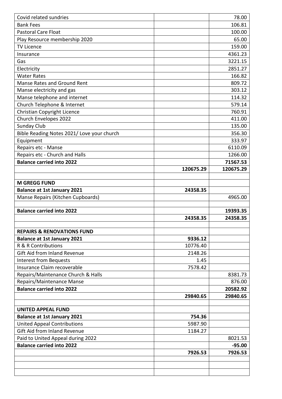| Covid related sundries                     |           | 78.00     |
|--------------------------------------------|-----------|-----------|
| <b>Bank Fees</b>                           |           | 106.81    |
| <b>Pastoral Care Float</b>                 |           | 100.00    |
| Play Resource membership 2020              |           | 65.00     |
| <b>TV Licence</b>                          |           | 159.00    |
| Insurance                                  |           | 4361.23   |
| Gas                                        |           | 3221.15   |
| Electricity                                |           | 2851.27   |
| <b>Water Rates</b>                         |           | 166.82    |
| <b>Manse Rates and Ground Rent</b>         |           | 809.72    |
| Manse electricity and gas                  |           | 303.12    |
| Manse telephone and internet               |           | 114.32    |
| Church Telephone & Internet                |           | 579.14    |
| <b>Christian Copyright Licence</b>         |           | 760.91    |
| Church Envelopes 2022                      |           | 411.00    |
| Sunday Club                                |           | 135.00    |
| Bible Reading Notes 2021/ Love your church |           | 356.30    |
| Equipment                                  |           | 333.97    |
| Repairs etc - Manse                        |           | 6110.09   |
| Repairs etc - Church and Halls             |           | 1266.00   |
| <b>Balance carried into 2022</b>           |           | 71567.53  |
|                                            | 120675.29 | 120675.29 |
|                                            |           |           |
| <b>M GREGG FUND</b>                        |           |           |
| <b>Balance at 1st January 2021</b>         | 24358.35  |           |
| Manse Repairs (Kitchen Cupboards)          |           | 4965.00   |
|                                            |           |           |
| <b>Balance carried into 2022</b>           |           | 19393.35  |
|                                            | 24358.35  | 24358.35  |
| <b>REPAIRS &amp; RENOVATIONS FUND</b>      |           |           |
| <b>Balance at 1st January 2021</b>         | 9336.12   |           |
| R & R Contributions                        | 10776.40  |           |
| Gift Aid from Inland Revenue               | 2148.26   |           |
| <b>Interest from Bequests</b>              | 1.45      |           |
| Insurance Claim recoverable                | 7578.42   |           |
| Repairs/Maintenance Church & Halls         |           | 8381.73   |
| Repairs/Maintenance Manse                  |           | 876.00    |
| <b>Balance carried into 2022</b>           |           | 20582.92  |
|                                            | 29840.65  | 29840.65  |
|                                            |           |           |
| <b>UNITED APPEAL FUND</b>                  |           |           |
| <b>Balance at 1st January 2021</b>         | 754.36    |           |
| <b>United Appeal Contributions</b>         | 5987.90   |           |
| Gift Aid from Inland Revenue               | 1184.27   |           |
| Paid to United Appeal during 2022          |           | 8021.53   |
| <b>Balance carried into 2022</b>           |           | $-95.00$  |
|                                            | 7926.53   | 7926.53   |
|                                            |           |           |
|                                            |           |           |
|                                            |           |           |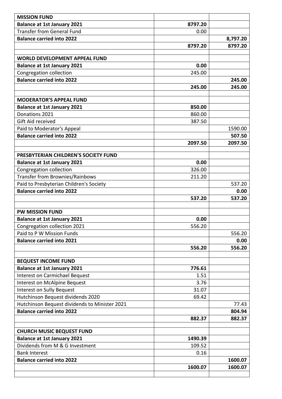| <b>MISSION FUND</b>                                            |              |          |
|----------------------------------------------------------------|--------------|----------|
| <b>Balance at 1st January 2021</b>                             | 8797.20      |          |
| <b>Transfer from General Fund</b>                              | 0.00         |          |
| <b>Balance carried into 2022</b>                               |              | 8,797.20 |
|                                                                | 8797.20      | 8797.20  |
|                                                                |              |          |
| <b>WORLD DEVELOPMENT APPEAL FUND</b>                           |              |          |
| <b>Balance at 1st January 2021</b>                             | 0.00         |          |
| Congregation collection                                        | 245.00       |          |
| <b>Balance carried into 2022</b>                               |              | 245.00   |
|                                                                | 245.00       | 245.00   |
| <b>MODERATOR'S APPEAL FUND</b>                                 |              |          |
| <b>Balance at 1st January 2021</b>                             | 850.00       |          |
| Donations 2021                                                 | 860.00       |          |
| Gift Aid received                                              | 387.50       |          |
| Paid to Moderator's Appeal                                     |              | 1590.00  |
| <b>Balance carried into 2022</b>                               |              | 507.50   |
|                                                                | 2097.50      | 2097.50  |
|                                                                |              |          |
| PRESBYTERIAN CHILDREN'S SOCIETY FUND                           |              |          |
| <b>Balance at 1st January 2021</b>                             | 0.00         |          |
| Congregation collection                                        | 326.00       |          |
| Transfer from Brownies/Rainbows                                | 211.20       |          |
| Paid to Presbyterian Children's Society                        |              | 537.20   |
| <b>Balance carried into 2022</b>                               |              | 0.00     |
|                                                                | 537.20       | 537.20   |
|                                                                |              |          |
| <b>PW MISSION FUND</b>                                         |              |          |
| <b>Balance at 1st January 2021</b>                             | 0.00         |          |
| Congregation collection 2021                                   | 556.20       |          |
| Paid to P W Mission Funds                                      |              | 556.20   |
| <b>Balance carried into 2021</b>                               |              | 0.00     |
|                                                                | 556.20       | 556.20   |
|                                                                |              |          |
| <b>BEQUEST INCOME FUND</b>                                     |              |          |
| <b>Balance at 1st January 2021</b>                             | 776.61       |          |
| Interest on Carmichael Bequest<br>Interest on McAlpine Bequest | 1.51<br>3.76 |          |
| <b>Interest on Sully Bequest</b>                               | 31.07        |          |
|                                                                |              |          |
|                                                                |              |          |
| Hutchinson Bequest dividends 2020                              | 69.42        |          |
| Hutchinson Bequest dividends to Minister 2021                  |              | 77.43    |
| <b>Balance carried into 2022</b>                               |              | 804.94   |
|                                                                | 882.37       | 882.37   |
| <b>CHURCH MUSIC BEQUEST FUND</b>                               |              |          |
| <b>Balance at 1st January 2021</b>                             | 1490.39      |          |
| Dividends from M & G Investment                                | 109.52       |          |
| <b>Bank Interest</b>                                           | 0.16         |          |
| <b>Balance carried into 2022</b>                               |              | 1600.07  |
|                                                                | 1600.07      | 1600.07  |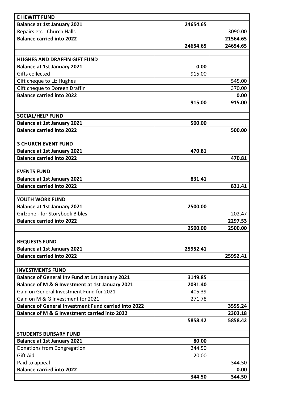| <b>E HEWITT FUND</b>                                        |          |          |
|-------------------------------------------------------------|----------|----------|
| <b>Balance at 1st January 2021</b>                          | 24654.65 |          |
| Repairs etc - Church Halls                                  |          | 3090.00  |
| <b>Balance carried into 2022</b>                            |          | 21564.65 |
|                                                             | 24654.65 | 24654.65 |
|                                                             |          |          |
| <b>HUGHES AND DRAFFIN GIFT FUND</b>                         |          |          |
| <b>Balance at 1st January 2021</b>                          | 0.00     |          |
| Gifts collected                                             | 915.00   |          |
| Gift cheque to Liz Hughes                                   |          | 545.00   |
| Gift cheque to Doreen Draffin                               |          | 370.00   |
| <b>Balance carried into 2022</b>                            |          | 0.00     |
|                                                             | 915.00   | 915.00   |
|                                                             |          |          |
| <b>SOCIAL/HELP FUND</b>                                     |          |          |
| <b>Balance at 1st January 2021</b>                          | 500.00   |          |
| <b>Balance carried into 2022</b>                            |          | 500.00   |
|                                                             |          |          |
| <b>3 CHURCH EVENT FUND</b>                                  |          |          |
| <b>Balance at 1st January 2021</b>                          | 470.81   |          |
| <b>Balance carried into 2022</b>                            |          | 470.81   |
|                                                             |          |          |
| <b>EVENTS FUND</b>                                          |          |          |
| <b>Balance at 1st January 2021</b>                          | 831.41   |          |
| <b>Balance carried into 2022</b>                            |          | 831.41   |
| YOUTH WORK FUND                                             |          |          |
| <b>Balance at 1st January 2021</b>                          | 2500.00  |          |
| Girlzone - for Storybook Bibles                             |          | 202.47   |
| <b>Balance carried into 2022</b>                            |          | 2297.53  |
|                                                             | 2500.00  | 2500.00  |
|                                                             |          |          |
| <b>BEQUESTS FUND</b>                                        |          |          |
| <b>Balance at 1st January 2021</b>                          | 25952.41 |          |
| <b>Balance carried into 2022</b>                            |          | 25952.41 |
|                                                             |          |          |
| <b>INVESTMENTS FUND</b>                                     |          |          |
| <b>Balance of General Inv Fund at 1st January 2021</b>      | 3149.85  |          |
| Balance of M & G Investment at 1st January 2021             | 2031.40  |          |
| Gain on General Investment Fund for 2021                    | 405.39   |          |
| Gain on M & G Investment for 2021                           | 271.78   |          |
| <b>Balance of General Investment Fund carried into 2022</b> |          | 3555.24  |
| Balance of M & G Investment carried into 2022               |          | 2303.18  |
|                                                             | 5858.42  | 5858.42  |
|                                                             |          |          |
| <b>STUDENTS BURSARY FUND</b>                                |          |          |
| <b>Balance at 1st January 2021</b>                          | 80.00    |          |
| Donations from Congregation                                 | 244.50   |          |
| Gift Aid                                                    | 20.00    |          |
| Paid to appeal                                              |          | 344.50   |
| <b>Balance carried into 2022</b>                            |          | 0.00     |
|                                                             | 344.50   | 344.50   |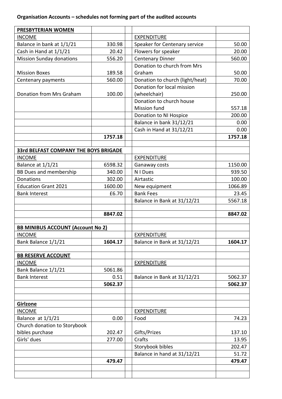| PRESBYTERIAN WOMEN                           |         |                                 |         |
|----------------------------------------------|---------|---------------------------------|---------|
| <b>INCOME</b>                                |         | <b>EXPENDITURE</b>              |         |
| Balance in bank at 1/1/21                    | 330.98  | Speaker for Centenary service   | 50.00   |
| Cash in Hand at 1/1/21                       | 20.42   | Flowers for speaker             | 20.00   |
| <b>Mission Sunday donations</b>              | 556.20  | <b>Centenary Dinner</b>         | 560.00  |
|                                              |         | Donation to church from Mrs     |         |
| <b>Mission Boxes</b>                         | 189.58  | Graham                          | 50.00   |
| Centenary payments                           | 560.00  | Donation to church (light/heat) | 70.00   |
|                                              |         | Donation for local mission      |         |
| Donation from Mrs Graham                     | 100.00  | (wheelchair)                    | 250.00  |
|                                              |         | Donation to church house        |         |
|                                              |         | <b>Mission fund</b>             | 557.18  |
|                                              |         | Donation to NI Hospice          | 200.00  |
|                                              |         | Balance in bank 31/12/21        | 0.00    |
|                                              |         | Cash in Hand at 31/12/21        | 0.00    |
|                                              | 1757.18 |                                 | 1757.18 |
|                                              |         |                                 |         |
| <b>33rd BELFAST COMPANY THE BOYS BRIGADE</b> |         |                                 |         |
| <b>INCOME</b>                                |         | <b>EXPENDITURE</b>              |         |
| Balance at 1/1/21                            | 6598.32 | Ganaway costs                   | 1150.00 |
| <b>BB Dues and membership</b>                | 340.00  | N I Dues                        | 939.50  |
| Donations                                    | 302.00  | Airtastic                       | 100.00  |
| <b>Education Grant 2021</b>                  | 1600.00 | New equipment                   | 1066.89 |
| <b>Bank Interest</b>                         | £6.70   | <b>Bank Fees</b>                | 23.45   |
|                                              |         | Balance in Bank at 31/12/21     | 5567.18 |
|                                              | 8847.02 |                                 | 8847.02 |
|                                              |         |                                 |         |
| <b>BB MINIBUS ACCOUNT (Account No 2)</b>     |         |                                 |         |
| <b>INCOME</b>                                |         | <b>EXPENDITURE</b>              |         |
| Bank Balance 1/1/21                          | 1604.17 | Balance in Bank at 31/12/21     | 1604.17 |
|                                              |         |                                 |         |
| <b>BB RESERVE ACCOUNT</b>                    |         |                                 |         |
| <b>INCOME</b>                                |         | <b>EXPENDITURE</b>              |         |
| Bank Balance 1/1/21                          | 5061.86 |                                 |         |
| <b>Bank Interest</b>                         | 0.51    | Balance in Bank at 31/12/21     | 5062.37 |
|                                              | 5062.37 |                                 | 5062.37 |
|                                              |         |                                 |         |
|                                              |         |                                 |         |
| Girlzone                                     |         |                                 |         |
| <b>INCOME</b>                                |         | <b>EXPENDITURE</b>              |         |
| Balance at 1/1/21                            | 0.00    | Food                            | 74.23   |
| Church donation to Storybook                 |         |                                 |         |
| bibles purchase                              | 202.47  | Gifts/Prizes                    | 137.10  |
| Girls' dues                                  | 277.00  | Crafts                          | 13.95   |
|                                              |         | Storybook bibles                | 202.47  |
|                                              |         | Balance in hand at 31/12/21     | 51.72   |
|                                              | 479.47  |                                 | 479.47  |
|                                              |         |                                 |         |
|                                              |         |                                 |         |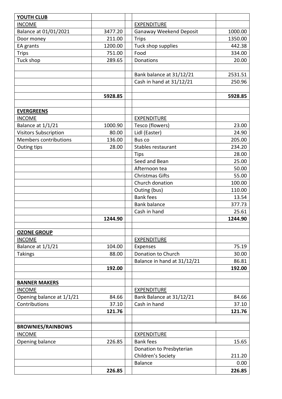| <b>YOUTH CLUB</b>                  |         |                                |         |
|------------------------------------|---------|--------------------------------|---------|
| <b>INCOME</b>                      |         | <b>EXPENDITURE</b>             |         |
| Balance at 01/01/2021              | 3477.20 | <b>Ganaway Weekend Deposit</b> | 1000.00 |
| Door money                         | 211.00  | <b>Trips</b>                   | 1350.00 |
| EA grants                          | 1200.00 | Tuck shop supplies             | 442.38  |
| <b>Trips</b>                       | 751.00  | Food                           | 334.00  |
| Tuck shop                          | 289.65  | Donations                      | 20.00   |
|                                    |         |                                |         |
|                                    |         | Bank balance at 31/12/21       | 2531.51 |
|                                    |         | Cash in hand at 31/12/21       | 250.96  |
|                                    |         |                                |         |
|                                    | 5928.85 |                                | 5928.85 |
|                                    |         |                                |         |
| <b>EVERGREENS</b>                  |         |                                |         |
| <b>INCOME</b>                      |         | <b>EXPENDITURE</b>             |         |
| Balance at 1/1/21                  | 1000.90 | Tesco (flowers)                | 23.00   |
| <b>Visitors Subscription</b>       | 80.00   | Lidl (Easter)                  | 24.90   |
| <b>Members contributions</b>       | 136.00  | Bus co                         | 205.00  |
| Outing tips                        | 28.00   | Stables restaurant             | 234.20  |
|                                    |         | Tips                           | 28.00   |
|                                    |         | Seed and Bean                  | 25.00   |
|                                    |         | Afternoon tea                  | 50.00   |
|                                    |         | <b>Christmas Gifts</b>         | 55.00   |
|                                    |         | Church donation                | 100.00  |
|                                    |         | Outing (bus)                   | 110.00  |
|                                    |         | <b>Bank fees</b>               | 13.54   |
|                                    |         | <b>Bank balance</b>            | 377.73  |
|                                    |         | Cash in hand                   | 25.61   |
|                                    | 1244.90 |                                | 1244.90 |
|                                    |         |                                |         |
| <b>OZONE GROUP</b>                 |         |                                |         |
| <b>INCOME</b><br>Balance at 1/1/21 | 104.00  | <b>EXPENDITURE</b><br>Expenses | 75.19   |
| <b>Takings</b>                     | 88.00   | Donation to Church             | 30.00   |
|                                    |         | Balance in hand at 31/12/21    | 86.81   |
|                                    | 192.00  |                                | 192.00  |
|                                    |         |                                |         |
| <b>BANNER MAKERS</b>               |         |                                |         |
| <b>INCOME</b>                      |         | <b>EXPENDITURE</b>             |         |
| Opening balance at 1/1/21          | 84.66   | Bank Balance at 31/12/21       | 84.66   |
| Contributions                      | 37.10   | Cash in hand                   | 37.10   |
|                                    | 121.76  |                                | 121.76  |
|                                    |         |                                |         |
| <b>BROWNIES/RAINBOWS</b>           |         |                                |         |
| <b>INCOME</b>                      |         | <b>EXPENDITURE</b>             |         |
| Opening balance                    | 226.85  | <b>Bank fees</b>               | 15.65   |
|                                    |         | Donation to Presbyterian       |         |
|                                    |         | Children's Society             | 211.20  |
|                                    |         | <b>Balance</b>                 | 0.00    |
|                                    | 226.85  |                                | 226.85  |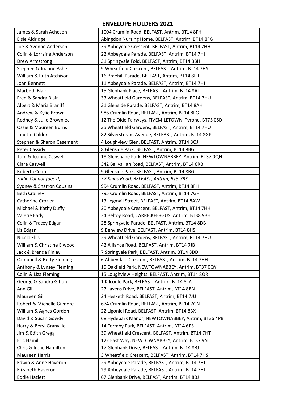#### **ENVELOPE HOLDERS 2021**

| James & Sarah Acheson      | 1004 Crumlin Road, BELFAST, Antrim, BT14 8FH         |
|----------------------------|------------------------------------------------------|
| Elsie Aldridge             | Abingdon Nursing Home, BELFAST, Antrim, BT14 8FG     |
| Joe & Yvonne Anderson      | 39 Abbeydale Crescent, BELFAST, Antrim, BT14 7HH     |
| Colin & Lorraine Anderson  | 22 Abbeydale Parade, BELFAST, Antrim, BT14 7HJ       |
| Drew Armstrong             | 31 Springvale Fold, BELFAST, Antrim, BT14 8BH        |
| Stephen & Joanne Ashe      | 9 Wheatfield Crescent, BELFAST, Antrim, BT14 7HS     |
| William & Ruth Atchison    | 16 Braehill Parade, BELFAST, Antrim, BT14 8FR        |
| Joan Bennett               | 11 Abbeydale Parade, BELFAST, Antrim, BT14 7HJ       |
| Marbeth Blair              | 15 Glenbank Place, BELFAST, Antrim, BT14 8AL         |
| Fred & Sandra Blair        | 33 Wheatfield Gardens, BELFAST, Antrim, BT14 7HU     |
| Albert & Maria Braniff     | 31 Glenside Parade, BELFAST, Antrim, BT14 8AH        |
| Andrew & Kylie Brown       | 986 Crumlin Road, BELFAST, Antrim, BT14 8FG          |
| Rodney & Julie Brownlee    | 12 The Olde Fairways, FIVEMILETOWN, Tyrone, BT75 0SD |
| Ossie & Maureen Burns      | 35 Wheatfield Gardens, BELFAST, Antrim, BT14 7HU     |
| Janette Calder             | 82 Silverstream Avenue, BELFAST, Antrim, BT14 8GP    |
| Stephen & Sharon Casement  | 4 Loughview Glen, BELFAST, Antrim, BT14 8QJ          |
| Peter Cassidy              | 8 Glenside Park, BELFAST, Antrim, BT14 8BG           |
| Tom & Joanne Caswell       | 18 Glenshane Park, NEWTOWNABBEY, Antrim, BT37 0QN    |
| <b>Clare Caswell</b>       | 342 Ballysillan Road, BELFAST, Antrim, BT14 6RB      |
| Roberta Coates             | 9 Glenside Park, BELFAST, Antrim, BT14 8BG           |
| Sadie Connor (dec'd)       | 57 Kings Road, BELFAST, Antrim, BT5 7BS              |
| Sydney & Sharron Cousins   | 994 Crumlin Road, BELFAST, Antrim, BT14 8FH          |
| <b>Beth Crainey</b>        | 795 Crumlin Road, BELFAST, Antrim, BT14 7GF          |
| Catherine Crozier          | 13 Legmail Street, BELFAST, Antrim, BT14 8AW         |
| Michael & Kathy Duffy      | 20 Abbeydale Crescent, BELFAST, Antrim, BT14 7HH     |
| Valerie Early              | 34 Beltoy Road, CARRICKFERGUS, Antrim, BT38 9BH      |
| Colin & Tracey Edgar       | 28 Springvale Parade, BELFAST, Antrim, BT14 8DB      |
| Liz Edgar                  | 9 Benview Drive, BELFAST, Antrim, BT14 8HS           |
| Nicola Ellis               | 29 Wheatfield Gardens, BELFAST, Antrim, BT14 7HU     |
| William & Christine Elwood | 42 Alliance Road, BELFAST, Antrim, BT14 7JB          |
| Jack & Brenda Finlay       | 7 Springvale Park, BELFAST, Antrim, BT14 8DD         |
| Campbell & Betty Fleming   | 6 Abbeydale Crescent, BELFAST, Antrim, BT14 7HH      |
| Anthony & Lynsey Fleming   | 15 Oakfield Park, NEWTOWNABBEY, Antrim, BT37 0QY     |
| Colin & Liza Fleming       | 15 Loughview Heights, BELFAST, Antrim, BT14 8QR      |
| George & Sandra Gihon      | 1 Kilcoole Park, BELFAST, Antrim, BT14 8LA           |
| Ann Gill                   | 27 Lavens Drive, BELFAST, Antrim, BT14 8BN           |
| Maureen Gill               | 24 Hesketh Road, BELFAST, Antrim, BT14 7JU           |
| Robert & Michelle Gilmore  | 674 Crumlin Road, BELFAST, Antrim, BT14 7GN          |
| William & Agnes Gordon     | 22 Ligoniel Road, BELFAST, Antrim, BT14 8BX          |
| David & Susan Gowdy        | 68 Hydepark Manor, NEWTOWNABBEY, Antrim, BT36 4PB    |
| Harry & Beryl Granville    | 14 Formby Park, BELFAST, Antrim, BT14 6PS            |
| Jim & Edith Gregg          | 39 Wheatfield Crescent, BELFAST, Antrim, BT14 7HT    |
| Eric Hamill                | 122 East Way, NEWTOWNABBEY, Antrim, BT37 9NT         |
| Chris & Irene Hamilton     | 17 Glenbank Drive, BELFAST, Antrim, BT14 8BJ         |
| <b>Maureen Harris</b>      | 3 Wheatfield Crescent, BELFAST, Antrim, BT14 7HS     |
| Edwin & Anne Haveron       | 29 Abbeydale Parade, BELFAST, Antrim, BT14 7HJ       |
| Elizabeth Haveron          | 29 Abbeydale Parade, BELFAST, Antrim, BT14 7HJ       |
| <b>Eddie Hazlett</b>       | 67 Glenbank Drive, BELFAST, Antrim, BT14 8BJ         |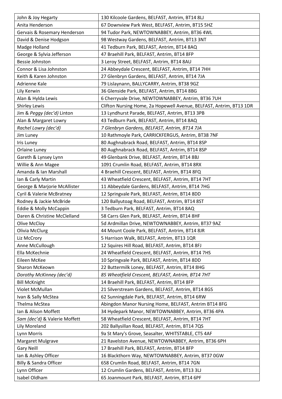| John & Joy Hegarty                | 130 Kilcoole Gardens, BELFAST, Antrim, BT14 8LJ                     |
|-----------------------------------|---------------------------------------------------------------------|
| Anita Henderson                   | 67 Downview Park West, BELFAST, Antrim, BT15 5HZ                    |
| Gervais & Rosemary Henderson      | 94 Tudor Park, NEWTOWNABBEY, Antrim, BT36 4WL                       |
| David & Denise Hodgson            | 98 Westway Gardens, BELFAST, Antrim, BT13 3NT                       |
| Madge Holland                     | 41 Tedburn Park, BELFAST, Antrim, BT14 8AQ                          |
| George & Sylvia Jefferson         | 47 Braehill Park, BELFAST, Antrim, BT14 8FP                         |
| Bessie Johnston                   | 3 Leroy Street, BELFAST, Antrim, BT14 8AU                           |
| Connor & Lisa Johnston            | 24 Abbeydale Crescent, BELFAST, Antrim, BT14 7HH                    |
| Keith & Karen Johnston            | 27 Glenbryn Gardens, BELFAST, Antrim, BT14 7JA                      |
| Adrienne Kale                     | 79 Lislaynann, BALLYCARRY, Antrim, BT38 9GZ                         |
| Lily Kerwin                       | 36 Glenside Park, BELFAST, Antrim, BT14 8BG                         |
| Alan & Hylda Lewis                | 6 Cherryvale Drive, NEWTOWNABBEY, Antrim, BT36 7UH                  |
| <b>Shirley Lewis</b>              | Clifton Nursing Home, 2a Hopewell Avenue, BELFAST, Antrim, BT13 1DR |
| Jim & Peggy (dec'd) Linton        | 13 Lyndhurst Parade, BELFAST, Antrim, BT13 3PB                      |
| Alan & Margaret Lowry             | 43 Tedburn Park, BELFAST, Antrim, BT14 8AQ                          |
| Rachel Lowry (dec'd)              | 7 Glenbryn Gardens, BELFAST, Antrim, BT14 7JA                       |
| Jim Luney                         | 10 Rathmoyle Park, CARRICKFERGUS, Antrim, BT38 7NF                  |
| Iris Luney                        | 80 Aughnabrack Road, BELFAST, Antrim, BT14 8SP                      |
| Orlaine Luney                     | 80 Aughnabrack Road, BELFAST, Antrim, BT14 8SP                      |
| Gareth & Lynsey Lynn              | 49 Glenbank Drive, BELFAST, Antrim, BT14 8BJ                        |
| Willie & Ann Magee                | 1091 Crumlin Road, BELFAST, Antrim, BT14 8RX                        |
| Amanda & Ian Marshall             | 4 Braehill Crescent, BELFAST, Antrim, BT14 8FQ                      |
| Ian & Carly Martin                | 43 Wheatfield Crescent, BELFAST, Antrim, BT14 7HT                   |
| George & Marjorie McAllister      | 11 Abbeydale Gardens, BELFAST, Antrim, BT14 7HG                     |
| Cyril & Valerie McBratney         | 12 Springvale Park, BELFAST, Antrim, BT14 8DD                       |
| Rodney & Jackie McBride           | 120 Ballyutoag Road, BELFAST, Antrim, BT14 8ST                      |
| Eddie & Molly McCappin            | 3 Tedburn Park, BELFAST, Antrim, BT14 8AQ                           |
| Daren & Christine McClelland      | 58 Carrs Glen Park, BELFAST, Antrim, BT14 8HF                       |
| Olive McCloy                      | 5d Ardmillan Drive, NEWTOWNABBEY, Antrim, BT37 9AZ                  |
| Olivia McClurg                    | 44 Mount Coole Park, BELFAST, Antrim, BT14 8JR                      |
| Liz McCrory                       | 5 Harrison Walk, BELFAST, Antrim, BT13 1QR                          |
| Anne McCullough                   | 12 Squires Hill Road, BELFAST, Antrim, BT14 8FJ                     |
| Ella McKechnie                    | 24 Wheatfield Crescent, BELFAST, Antrim, BT14 7HS                   |
| Eileen McKee                      | 10 Springvale Park, BELFAST, Antrim, BT14 8DD                       |
| Sharon McKeown                    | 22 Buttermilk Loney, BELFAST, Antrim, BT14 8HG                      |
| Dorothy McKinney (dec'd)          | 85 Wheatfield Crescent, BELFAST, Antrim, BT14 7HT                   |
| <b>Bill McKnight</b>              | 14 Braehill Park, BELFAST, Antrim, BT14 8FP                         |
| Violet McMullan                   | 21 Silverstream Gardens, BELFAST, Antrim, BT14 8GS                  |
| Ivan & Sally McStea               | 62 Sunningdale Park, BELFAST, Antrim, BT14 6RW                      |
| Thelma McStea                     | Abingdon Manor Nursing Home, BELFAST, Antrim BT14 8FG               |
| Ian & Alison Moffett              | 34 Hydepark Manor, NEWTOWNABBEY, Antrim, BT36 4PA                   |
| Sam (dec'd) & Valerie Moffett     | 58 Wheatfield Crescent, BELFAST, Antrim, BT14 7HT                   |
| Lily Moreland                     | 202 Ballysillan Road, BELFAST, Antrim, BT14 7QS                     |
| Lynn Morris                       | 9a St Mary's Grove, Seasalter, WHITSTABLE, CT5 4AF                  |
| Margaret Mulgrave                 | 21 Ravelston Avenue, NEWTOWNABBEY, Antrim, BT36 6PH                 |
| <b>Gary Neill</b>                 | 17 Braehill Park, BELFAST, Antrim, BT14 8FP                         |
| Ian & Ashley Officer              | 16 Blackthorn Way, NEWTOWNABBEY, Antrim, BT37 0GW                   |
| <b>Billy &amp; Sandra Officer</b> | 658 Crumlin Road, BELFAST, Antrim, BT14 7GN                         |
| Lynn Officer                      | 12 Crumlin Gardens, BELFAST, Antrim, BT13 3LJ                       |
| Isabel Oldham                     | 65 Joanmount Park, BELFAST, Antrim, BT14 6PF                        |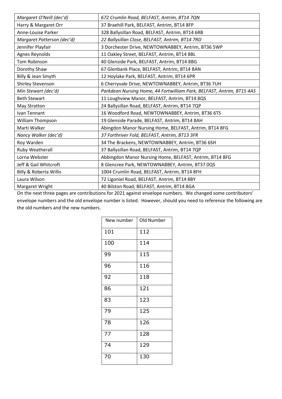| Margaret O'Neill (dec'd)          | 672 Crumlin Road, BELFAST, Antrim, BT14 7QN                           |
|-----------------------------------|-----------------------------------------------------------------------|
| Harry & Margaret Orr              | 37 Braehill Park, BELFAST, Antrim, BT14 8FP                           |
| Anne-Louise Parker                | 328 Ballysillan Road, BELFAST, Antrim, BT14 6RB                       |
| Margaret Patterson (dec'd)        | 22 Ballysillan Close, BELFAST, Antrim, BT14 7RD                       |
| Jennifer Playfair                 | 3 Dorchester Drive, NEWTOWNABBEY, Antrim, BT36 5WP                    |
| Agnes Reynolds                    | 11 Oakley Street, BELFAST, Antrim, BT14 8BL                           |
| Tom Robinson                      | 40 Glenside Park, BELFAST, Antrim, BT14 8BG                           |
| Dorothy Shaw                      | 67 Glenbank Place, BELFAST, Antrim, BT14 8AN                          |
| Billy & Jean Smyth                | 12 Hoylake Park, BELFAST, Antrim, BT14 6PR                            |
| Shirley Stevenson                 | 6 Cherryvale Drive, NEWTOWNABBEY, Antrim, BT36 7UH                    |
| Min Stewart (dec'd)               | Parkdean Nursing Home, 44 Fortwilliam Park, BELFAST, Antrim, BT15 4AS |
| <b>Beth Stewart</b>               | 11 Loughview Manor, BELFAST, Antrim, BT14 8QS                         |
| May Stratton                      | 24 Ballysillan Road, BELFAST, Antrim, BT14 7QP                        |
| Ivan Tennant                      | 16 Woodford Road, NEWTOWNABBEY, Antrim, BT36 6TS                      |
| William Thompson                  | 19 Glenside Parade, BELFAST, Antrim, BT14 8AH                         |
| Marti Walker                      | Abingdon Manor Nursing Home, BELFAST, Antrim, BT14 8FG                |
| Nancy Walker (dec'd)              | 37 Forthriver Fold, BELFAST, Antrim, BT13 3FR                         |
| Roy Warden                        | 34 The Brackens, NEWTOWNABBEY, Antrim, BT36 6SH                       |
| Ruby Weatherall                   | 37 Ballysillan Road, BELFAST, Antrim, BT14 7QP                        |
| Lorna Webster                     | Abbingdon Manor Nursing Home, BELFAST, Antrim, BT14 8FG               |
| Jeff & Gail Whitcroft             | 8 Glencree Park, NEWTOWNABBEY, Antrim, BT37 0QS                       |
| <b>Billy &amp; Roberta Willis</b> | 1004 Crumlin Road, BELFAST, Antrim, BT14 8FH                          |
| Laura Wilson                      | 72 Ligoniel Road, BELFAST, Antrim, BT14 8BY                           |
| Margaret Wright                   | 40 Bilston Road, BELFAST, Antrim, BT14 8GA                            |

On the next three pages are contributions for 2021 against envelope numbers. We changed some contributors' envelope numbers and the old envelope number is listed. However, should you need to reference the following are the old numbers and the new numbers.

| New number | Old Number |
|------------|------------|
| 101        | 112        |
| 100        | 114        |
| 99         | 115        |
| 96         | 116        |
| 92         | 118        |
| 86         | 121        |
| 83         | 123        |
| 79         | 125        |
| 78         | 126        |
| 77         | 128        |
| 74         | 129        |
| 70         | 130        |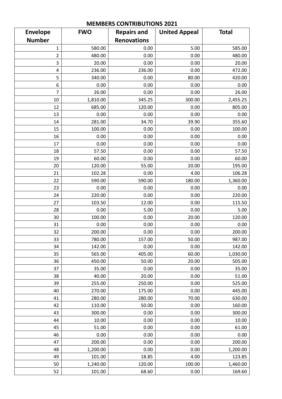|                 |            | INICIALDENS CONTINIDUTIONS EUZI |                      |              |
|-----------------|------------|---------------------------------|----------------------|--------------|
| <b>Envelope</b> | <b>FWO</b> | <b>Repairs and</b>              | <b>United Appeal</b> | <b>Total</b> |
| <b>Number</b>   |            | <b>Renovations</b>              |                      |              |
| 1               | 580.00     | 0.00                            | 5.00                 | 585.00       |
| $\overline{2}$  | 480.00     | 0.00                            | 0.00                 | 480.00       |
| 3               | 20.00      | 0.00                            | 0.00                 | 20.00        |
| 4               | 236.00     | 236.00                          | 0.00                 | 472.00       |
| 5               | 340.00     | 0.00                            | 80.00                | 420.00       |
| 6               | 0.00       | 0.00                            | 0.00                 | 0.00         |
| 7               | 26.00      | 0.00                            | 0.00                 | 26.00        |
| 10              | 1,810.00   | 345.25                          | 300.00               | 2,455.25     |
| 12              | 685.00     | 120.00                          | 0.00                 | 805.00       |
| 13              | 0.00       | 0.00                            | 0.00                 | 0.00         |
| 14              | 281.00     | 34.70                           | 39.90                | 355.60       |
| 15              | 100.00     | 0.00                            | 0.00                 | 100.00       |
| 16              | 0.00       | 0.00                            | 0.00                 | 0.00         |
| 17              | 0.00       | 0.00                            | 0.00                 | 0.00         |
| 18              | 57.50      | 0.00                            | 0.00                 | 57.50        |
| 19              | 60.00      | 0.00                            | 0.00                 | 60.00        |
| 20              | 120.00     | 55.00                           | 20.00                | 195.00       |
| 21              | 102.28     | 0.00                            | 4.00                 | 106.28       |
| 22              | 590.00     | 590.00                          | 180.00               | 1,360.00     |
| 23              | 0.00       | 0.00                            | 0.00                 | 0.00         |
| 24              | 220.00     | 0.00                            | 0.00                 | 220.00       |
| 27              | 103.50     | 12.00                           | 0.00                 | 115.50       |
| 28              | 0.00       | 5.00                            | 0.00                 | 5.00         |
| 30              | 100.00     | 0.00                            | 20.00                | 120.00       |
| 31              | 0.00       | 0.00                            | 0.00                 | 0.00         |
| 32              | 200.00     | 0.00                            | 0.00                 | 200.00       |
| 33              | 780.00     | 157.00                          | 50.00                | 987.00       |
| 34              | 142.00     | 0.00                            | 0.00                 | 142.00       |
| 35              | 565.00     | 405.00                          | 60.00                | 1,030.00     |
| 36              | 450.00     | 50.00                           | 20.00                | 505.00       |
| 37              | 35.00      | 0.00                            | 0.00                 | 35.00        |
| 38              | 40.00      | 20.00                           | 0.00                 | 51.00        |
| 39              | 255.00     | 250.00                          | 0.00                 | 525.00       |
| 40              | 270.00     | 175.00                          | 0.00                 | 445.00       |
| 41              | 280.00     | 280.00                          | 70.00                | 630.00       |
| 42              | 110.00     | 50.00                           | 0.00                 | 160.00       |
| 43              | 300.00     | 0.00                            | 0.00                 | 300.00       |
| 44              | 10.00      | 0.00                            | 0.00                 | 10.00        |
| 45              | 51.00      | 0.00                            | 0.00                 | 61.00        |
| 46              | 0.00       | 0.00                            | 0.00                 | 0.00         |
| 47              | 200.00     | 0.00                            | 0.00                 | 200.00       |
| 48              | 1,200.00   | 0.00                            | 0.00                 | 1,200.00     |
| 49              | 101.00     | 18.85                           | 4.00                 | 123.85       |
| 50              | 1,240.00   | 120.00                          | 100.00               | 1,460.00     |
| 52              | 101.00     | 68.60                           | 0.00                 | 169.60       |

#### **MEMBERS CONTRIBUTIONS 2021**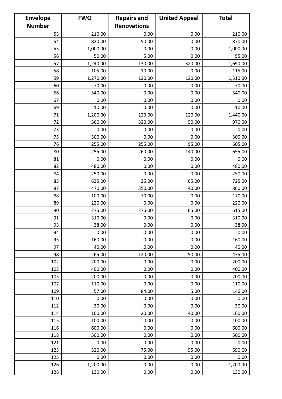| <b>Envelope</b> | <b>FWO</b> | <b>Repairs and</b> | <b>United Appeal</b> | <b>Total</b> |
|-----------------|------------|--------------------|----------------------|--------------|
| <b>Number</b>   |            | <b>Renovations</b> |                      |              |
| 53              | 210.00     | 0.00               | 0.00                 | 210.00       |
| 54              | 820.00     | 50.00              | 0.00                 | 870.00       |
| 55              | 1,000.00   | 0.00               | 0.00                 | 1,000.00     |
| 56              | 50.00      | 5.00               | 0.00                 | 55.00        |
| 57              | 1,240.00   | 130.00             | 320.00               | 1,690.00     |
| 58              | 105.00     | 10.00              | 0.00                 | 115.00       |
| 59              | 1,270.00   | 120.00             | 120.00               | 1,510.00     |
| 60              | 70.00      | 0.00               | 0.00                 | 70.00        |
| 66              | 540.00     | 0.00               | 0.00                 | 540.00       |
| 67              | 0.00       | 0.00               | 0.00                 | 0.00         |
| 69              | 10.00      | 0.00               | 0.00                 | 10.00        |
| 71              | 1,200.00   | 120.00             | 120.00               | 1,440.00     |
| 72              | 560.00     | 320.00             | 90.00                | 970.00       |
| 73              | 0.00       | 0.00               | 0.00                 | 0.00         |
| 75              | 300.00     | 0.00               | 0.00                 | 300.00       |
| 76              | 255.00     | 255.00             | 95.00                | 605.00       |
| 80              | 255.00     | 260.00             | 140.00               | 655.00       |
| 81              | 0.00       | 0.00               | 0.00                 | 0.00         |
| 82              | 480.00     | 0.00               | 0.00                 | 480.00       |
| 84              | 250.00     | 0.00               | 0.00                 | 250.00       |
| 85              | 635.00     | 25.00              | 65.00                | 725.00       |
| 87              | 470.00     | 350.00             | 40.00                | 860.00       |
| 88              | 100.00     | 70.00              | 0.00                 | 170.00       |
| 89              | 220.00     | 0.00               | 0.00                 | 220.00       |
| 90              | 275.00     | 275.00             | 65.00                | 615.00       |
| 91              | 310.00     | 0.00               | 0.00                 | 310.00       |
| 93              | 38.00      | 0.00               | 0.00                 | 38.00        |
| 94              | 0.00       | 0.00               | 0.00                 | 0.00         |
| 95              | 160.00     | 0.00               | 0.00                 | 160.00       |
| 97              | 40.00      | 0.00               | 0.00                 | 40.00        |
| 98              | 265.00     | 120.00             | 50.00                | 435.00       |
| 102             | 200.00     | 0.00               | 0.00                 | 200.00       |
| 103             | 400.00     | 0.00               | 0.00                 | 400.00       |
| 105             | 200.00     | 0.00               | 0.00                 | 200.00       |
| 107             | 110.00     | 0.00               | 0.00                 | 110.00       |
| 109             | 57.00      | 84.00              | 5.00                 | 146.00       |
| 110             | 0.00       | 0.00               | 0.00                 | 0.00         |
| 112             | 30.00      | 0.00               | 0.00                 | 30.00        |
| 114             | 100.00     | 20.00              | 40.00                | 160.00       |
| 115             | 100.00     | 0.00               | 0.00                 | 100.00       |
| 116             | 600.00     | 0.00               | 0.00                 | 600.00       |
| 118             | 500.00     | 0.00               | 0.00                 | 500.00       |
| 121             | 0.00       | 0.00               | 0.00                 | 0.00         |
| 123             | 520.00     | 75.00              | 95.00                | 690.00       |
| 125             | 0.00       | 0.00               | 0.00                 | 0.00         |
| 126             | 1,200.00   | 0.00               | 0.00                 | 1,200.00     |
| 128             | 130.00     | 0.00               | 0.00                 | 130.00       |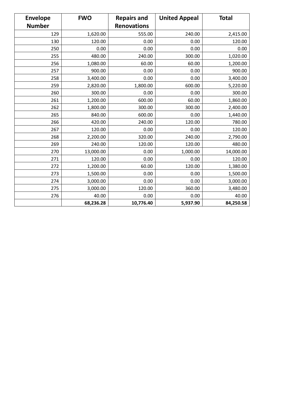| <b>Envelope</b> | <b>FWO</b> | <b>Repairs and</b> | <b>United Appeal</b> | <b>Total</b> |
|-----------------|------------|--------------------|----------------------|--------------|
| <b>Number</b>   |            | <b>Renovations</b> |                      |              |
| 129             | 1,620.00   | 555.00             | 240.00               | 2,415.00     |
| 130             | 120.00     | 0.00               | 0.00                 | 120.00       |
| 250             | 0.00       | 0.00               | 0.00                 | 0.00         |
| 255             | 480.00     | 240.00             | 300.00               | 1,020.00     |
| 256             | 1,080.00   | 60.00              | 60.00                | 1,200.00     |
| 257             | 900.00     | 0.00               | 0.00                 | 900.00       |
| 258             | 3,400.00   | 0.00               | 0.00                 | 3,400.00     |
| 259             | 2,820.00   | 1,800.00           | 600.00               | 5,220.00     |
| 260             | 300.00     | 0.00               | 0.00                 | 300.00       |
| 261             | 1,200.00   | 600.00             | 60.00                | 1,860.00     |
| 262             | 1,800.00   | 300.00             | 300.00               | 2,400.00     |
| 265             | 840.00     | 600.00             | 0.00                 | 1,440.00     |
| 266             | 420.00     | 240.00             | 120.00               | 780.00       |
| 267             | 120.00     | 0.00               | 0.00                 | 120.00       |
| 268             | 2,200.00   | 320.00             | 240.00               | 2,790.00     |
| 269             | 240.00     | 120.00             | 120.00               | 480.00       |
| 270             | 13,000.00  | 0.00               | 1,000.00             | 14,000.00    |
| 271             | 120.00     | 0.00               | 0.00                 | 120.00       |
| 272             | 1,200.00   | 60.00              | 120.00               | 1,380.00     |
| 273             | 1,500.00   | 0.00               | 0.00                 | 1,500.00     |
| 274             | 3,000.00   | 0.00               | 0.00                 | 3,000.00     |
| 275             | 3,000.00   | 120.00             | 360.00               | 3,480.00     |
| 276             | 40.00      | 0.00               | 0.00                 | 40.00        |
|                 | 68,236.28  | 10,776.40          | 5,937.90             | 84,250.58    |